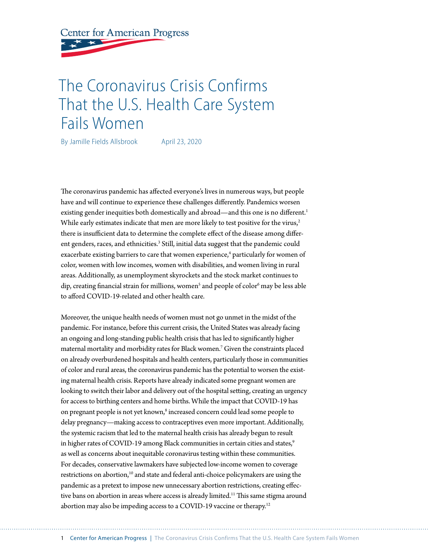**Center for American Progress** 

# The Coronavirus Crisis Confirms That the U.S. Health Care System Fails Women

By Jamille Fields Allsbrook April 23, 2020

The coronavirus pandemic has affected everyone's lives in numerous ways, but people have and will continue to experience these challenges differently. Pandemics worsen existing gender inequities both domestically and abroad—and this one is no different.<sup>1</sup> While early estimates indicate that men are more likely to test positive for the virus, $2$ there is insufficient data to determine the complete effect of the disease among different genders, races, and ethnicities.<sup>3</sup> Still, initial data suggest that the pandemic could exacerbate existing barriers to care that women experience,<sup>4</sup> particularly for women of color, women with low incomes, women with disabilities, and women living in rural areas. Additionally, as unemployment skyrockets and the stock market continues to dip, creating financial strain for millions, women<sup>s</sup> and people of color<sup>6</sup> may be less able to afford COVID-19-related and other health care.

Moreover, the unique health needs of women must not go unmet in the midst of the pandemic. For instance, before this current crisis, the United States was already facing an ongoing and long-standing public health crisis that has led to significantly higher maternal mortality and morbidity rates for Black women.7 Given the constraints placed on already overburdened hospitals and health centers, particularly those in communities of color and rural areas, the coronavirus pandemic has the potential to worsen the existing maternal health crisis. Reports have already indicated some pregnant women are looking to switch their labor and delivery out of the hospital setting, creating an urgency for access to birthing centers and home births. While the impact that COVID-19 has on pregnant people is not yet known,<sup>8</sup> increased concern could lead some people to delay pregnancy—making access to contraceptives even more important. Additionally, the systemic racism that led to the maternal health crisis has already begun to result in higher rates of COVID-19 among Black communities in certain cities and states,<sup>9</sup> as well as concerns about inequitable coronavirus testing within these communities. For decades, conservative lawmakers have subjected low-income women to coverage restrictions on abortion,10 and state and federal anti-choice policymakers are using the pandemic as a pretext to impose new unnecessary abortion restrictions, creating effective bans on abortion in areas where access is already limited.<sup>11</sup> This same stigma around abortion may also be impeding access to a COVID-19 vaccine or therapy.<sup>12</sup>

1 Center for American Progress | The Coronavirus Crisis Confirms That the U.S. Health Care System Fails Women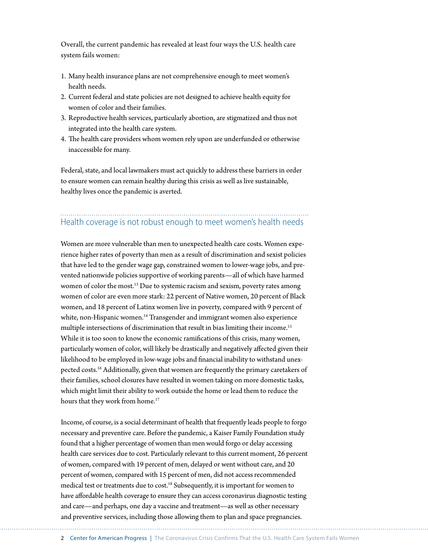Overall, the current pandemic has revealed at least four ways the U.S. health care system fails women:

- 1. Many health insurance plans are not comprehensive enough to meet women's health needs.
- 2. Current federal and state policies are not designed to achieve health equity for women of color and their families.
- 3. Reproductive health services, particularly abortion, are stigmatized and thus not integrated into the health care system.
- 4. The health care providers whom women rely upon are underfunded or otherwise inaccessible for many.

Federal, state, and local lawmakers must act quickly to address these barriers in order to ensure women can remain healthy during this crisis as well as live sustainable, healthy lives once the pandemic is averted.

#### Health coverage is not robust enough to meet women's health needs

Women are more vulnerable than men to unexpected health care costs. Women experience higher rates of poverty than men as a result of discrimination and sexist policies that have led to the gender wage gap, constrained women to lower-wage jobs, and prevented nationwide policies supportive of working parents—all of which have harmed women of color the most.<sup>13</sup> Due to systemic racism and sexism, poverty rates among women of color are even more stark: 22 percent of Native women, 20 percent of Black women, and 18 percent of Latinx women live in poverty, compared with 9 percent of white, non-Hispanic women.<sup>14</sup> Transgender and immigrant women also experience multiple intersections of discrimination that result in bias limiting their income.<sup>15</sup> While it is too soon to know the economic ramifications of this crisis, many women, particularly women of color, will likely be drastically and negatively affected given their likelihood to be employed in low-wage jobs and financial inability to withstand unexpected costs.<sup>16</sup> Additionally, given that women are frequently the primary caretakers of their families, school closures have resulted in women taking on more domestic tasks, which might limit their ability to work outside the home or lead them to reduce the hours that they work from home.<sup>17</sup>

Income, of course, is a social determinant of health that frequently leads people to forgo necessary and preventive care. Before the pandemic, a Kaiser Family Foundation study found that a higher percentage of women than men would forgo or delay accessing health care services due to cost. Particularly relevant to this current moment, 26 percent of women, compared with 19 percent of men, delayed or went without care, and 20 percent of women, compared with 15 percent of men, did not access recommended medical test or treatments due to cost.<sup>18</sup> Subsequently, it is important for women to have affordable health coverage to ensure they can access coronavirus diagnostic testing and care—and perhaps, one day a vaccine and treatment—as well as other necessary and preventive services, including those allowing them to plan and space pregnancies.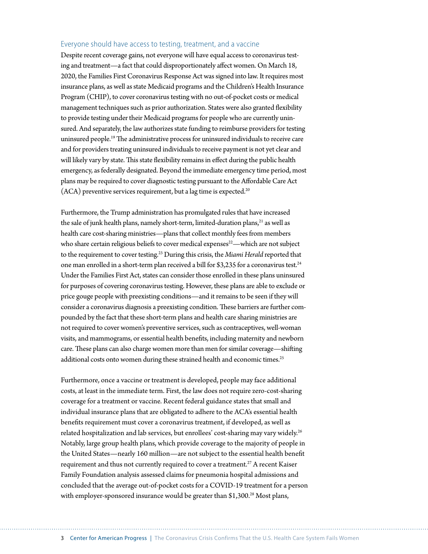#### Everyone should have access to testing, treatment, and a vaccine

Despite recent coverage gains, not everyone will have equal access to coronavirus testing and treatment—a fact that could disproportionately affect women. On March 18, 2020, the Families First Coronavirus Response Act was signed into law. It requires most insurance plans, as well as state Medicaid programs and the Children's Health Insurance Program (CHIP), to cover coronavirus testing with no out-of-pocket costs or medical management techniques such as prior authorization. States were also granted flexibility to provide testing under their Medicaid programs for people who are currently uninsured. And separately, the law authorizes state funding to reimburse providers for testing uninsured people.19 The administrative process for uninsured individuals to receive care and for providers treating uninsured individuals to receive payment is not yet clear and will likely vary by state. This state flexibility remains in effect during the public health emergency, as federally designated. Beyond the immediate emergency time period, most plans may be required to cover diagnostic testing pursuant to the Affordable Care Act  $(ACA)$  preventive services requirement, but a lag time is expected.<sup>20</sup>

Furthermore, the Trump administration has promulgated rules that have increased the sale of junk health plans, namely short-term, limited-duration plans,<sup>21</sup> as well as health care cost-sharing ministries—plans that collect monthly fees from members who share certain religious beliefs to cover medical expenses<sup>22</sup>—which are not subject to the requirement to cover testing.23 During this crisis, the *Miami Herald* reported that one man enrolled in a short-term plan received a bill for \$3,235 for a coronavirus test.<sup>24</sup> Under the Families First Act, states can consider those enrolled in these plans uninsured for purposes of covering coronavirus testing. However, these plans are able to exclude or price gouge people with preexisting conditions—and it remains to be seen if they will consider a coronavirus diagnosis a preexisting condition. These barriers are further compounded by the fact that these short-term plans and health care sharing ministries are not required to cover women's preventive services, such as contraceptives, well-woman visits, and mammograms, or essential health benefits, including maternity and newborn care. These plans can also charge women more than men for similar coverage—shifting additional costs onto women during these strained health and economic times.<sup>25</sup>

Furthermore, once a vaccine or treatment is developed, people may face additional costs, at least in the immediate term. First, the law does not require zero-cost-sharing coverage for a treatment or vaccine. Recent federal guidance states that small and individual insurance plans that are obligated to adhere to the ACA's essential health benefits requirement must cover a coronavirus treatment, if developed, as well as related hospitalization and lab services, but enrollees' cost-sharing may vary widely.<sup>26</sup> Notably, large group health plans, which provide coverage to the majority of people in the United States—nearly 160 million—are not subject to the essential health benefit requirement and thus not currently required to cover a treatment.<sup>27</sup> A recent Kaiser Family Foundation analysis assessed claims for pneumonia hospital admissions and concluded that the average out-of-pocket costs for a COVID-19 treatment for a person with employer-sponsored insurance would be greater than  $$1,300.^{28}$  Most plans,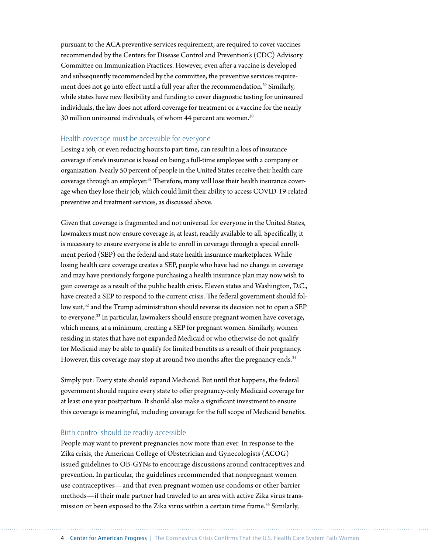pursuant to the ACA preventive services requirement, are required to cover vaccines recommended by the Centers for Disease Control and Prevention's (CDC) Advisory Committee on Immunization Practices. However, even after a vaccine is developed and subsequently recommended by the committee, the preventive services requirement does not go into effect until a full year after the recommendation.<sup>29</sup> Similarly, while states have new flexibility and funding to cover diagnostic testing for uninsured individuals, the law does not afford coverage for treatment or a vaccine for the nearly 30 million uninsured individuals, of whom 44 percent are women.<sup>30</sup>

#### Health coverage must be accessible for everyone

Losing a job, or even reducing hours to part time, can result in a loss of insurance coverage if one's insurance is based on being a full-time employee with a company or organization. Nearly 50 percent of people in the United States receive their health care coverage through an employer.<sup>31</sup> Therefore, many will lose their health insurance coverage when they lose their job, which could limit their ability to access COVID-19-related preventive and treatment services, as discussed above.

Given that coverage is fragmented and not universal for everyone in the United States, lawmakers must now ensure coverage is, at least, readily available to all. Specifically, it is necessary to ensure everyone is able to enroll in coverage through a special enrollment period (SEP) on the federal and state health insurance marketplaces. While losing health care coverage creates a SEP, people who have had no change in coverage and may have previously forgone purchasing a health insurance plan may now wish to gain coverage as a result of the public health crisis. Eleven states and Washington, D.C., have created a SEP to respond to the current crisis. The federal government should follow suit,<sup>32</sup> and the Trump administration should reverse its decision not to open a SEP to everyone.33 In particular, lawmakers should ensure pregnant women have coverage, which means, at a minimum, creating a SEP for pregnant women. Similarly, women residing in states that have not expanded Medicaid or who otherwise do not qualify for Medicaid may be able to qualify for limited benefits as a result of their pregnancy. However, this coverage may stop at around two months after the pregnancy ends.<sup>34</sup>

Simply put: Every state should expand Medicaid. But until that happens, the federal government should require every state to offer pregnancy-only Medicaid coverage for at least one year postpartum. It should also make a significant investment to ensure this coverage is meaningful, including coverage for the full scope of Medicaid benefits.

#### Birth control should be readily accessible

People may want to prevent pregnancies now more than ever. In response to the Zika crisis, the American College of Obstetrician and Gynecologists (ACOG) issued guidelines to OB-GYNs to encourage discussions around contraceptives and prevention. In particular, the guidelines recommended that nonpregnant women use contraceptives—and that even pregnant women use condoms or other barrier methods—if their male partner had traveled to an area with active Zika virus transmission or been exposed to the Zika virus within a certain time frame.<sup>35</sup> Similarly,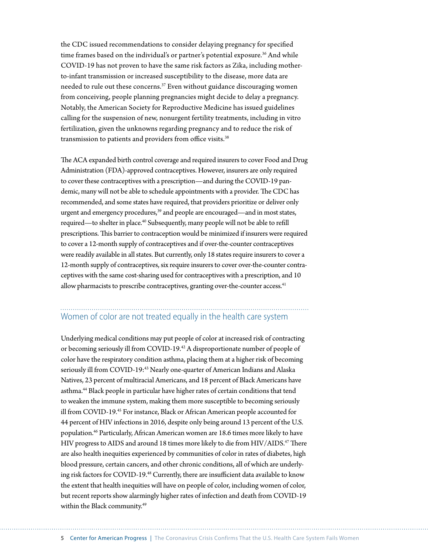the CDC issued recommendations to consider delaying pregnancy for specified time frames based on the individual's or partner's potential exposure.<sup>36</sup> And while COVID-19 has not proven to have the same risk factors as Zika, including motherto-infant transmission or increased susceptibility to the disease, more data are needed to rule out these concerns.<sup>37</sup> Even without guidance discouraging women from conceiving, people planning pregnancies might decide to delay a pregnancy. Notably, the American Society for Reproductive Medicine has issued guidelines calling for the suspension of new, nonurgent fertility treatments, including in vitro fertilization, given the unknowns regarding pregnancy and to reduce the risk of transmission to patients and providers from office visits.<sup>38</sup>

The ACA expanded birth control coverage and required insurers to cover Food and Drug Administration (FDA)-approved contraceptives. However, insurers are only required to cover these contraceptives with a prescription—and during the COVID-19 pandemic, many will not be able to schedule appointments with a provider. The CDC has recommended, and some states have required, that providers prioritize or deliver only urgent and emergency procedures,<sup>39</sup> and people are encouraged—and in most states, required—to shelter in place.<sup>40</sup> Subsequently, many people will not be able to refill prescriptions. This barrier to contraception would be minimized if insurers were required to cover a 12-month supply of contraceptives and if over-the-counter contraceptives were readily available in all states. But currently, only 18 states require insurers to cover a 12-month supply of contraceptives, six require insurers to cover over-the-counter contraceptives with the same cost-sharing used for contraceptives with a prescription, and 10 allow pharmacists to prescribe contraceptives, granting over-the-counter access.<sup>41</sup>

## Women of color are not treated equally in the health care system

Underlying medical conditions may put people of color at increased risk of contracting or becoming seriously ill from COVID-19.42 A disproportionate number of people of color have the respiratory condition asthma, placing them at a higher risk of becoming seriously ill from COVID-19:<sup>43</sup> Nearly one-quarter of American Indians and Alaska Natives, 23 percent of multiracial Americans, and 18 percent of Black Americans have asthma.44 Black people in particular have higher rates of certain conditions that tend to weaken the immune system, making them more susceptible to becoming seriously ill from COVID-19.45 For instance, Black or African American people accounted for 44 percent of HIV infections in 2016, despite only being around 13 percent of the U.S. population.46 Particularly, African American women are 18.6 times more likely to have HIV progress to AIDS and around 18 times more likely to die from HIV/AIDS.47 There are also health inequities experienced by communities of color in rates of diabetes, high blood pressure, certain cancers, and other chronic conditions, all of which are underlying risk factors for COVID-19.48 Currently, there are insufficient data available to know the extent that health inequities will have on people of color, including women of color, but recent reports show alarmingly higher rates of infection and death from COVID-19 within the Black community.<sup>49</sup>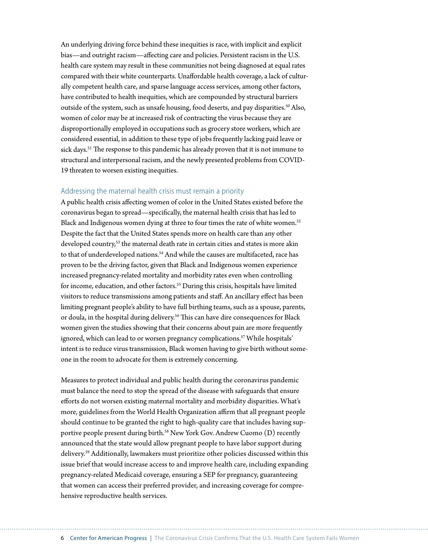An underlying driving force behind these inequities is race, with implicit and explicit bias—and outright racism—affecting care and policies. Persistent racism in the U.S. health care system may result in these communities not being diagnosed at equal rates compared with their white counterparts. Unaffordable health coverage, a lack of culturally competent health care, and sparse language access services, among other factors, have contributed to health inequities, which are compounded by structural barriers outside of the system, such as unsafe housing, food deserts, and pay disparities.<sup>50</sup> Also, women of color may be at increased risk of contracting the virus because they are disproportionally employed in occupations such as grocery store workers, which are considered essential, in addition to these type of jobs frequently lacking paid leave or sick days.<sup>51</sup> The response to this pandemic has already proven that it is not immune to structural and interpersonal racism, and the newly presented problems from COVID-19 threaten to worsen existing inequities.

#### Addressing the maternal health crisis must remain a priority

A public health crisis affecting women of color in the United States existed before the coronavirus began to spread—specifically, the maternal health crisis that has led to Black and Indigenous women dying at three to four times the rate of white women.<sup>52</sup> Despite the fact that the United States spends more on health care than any other developed country,<sup>53</sup> the maternal death rate in certain cities and states is more akin to that of underdeveloped nations.<sup>54</sup> And while the causes are multifaceted, race has proven to be the driving factor, given that Black and Indigenous women experience increased pregnancy-related mortality and morbidity rates even when controlling for income, education, and other factors.<sup>55</sup> During this crisis, hospitals have limited visitors to reduce transmissions among patients and staff. An ancillary effect has been limiting pregnant people's ability to have full birthing teams, such as a spouse, parents, or doula, in the hospital during delivery.<sup>56</sup> This can have dire consequences for Black women given the studies showing that their concerns about pain are more frequently ignored, which can lead to or worsen pregnancy complications.<sup>57</sup> While hospitals' intent is to reduce virus transmission, Black women having to give birth without someone in the room to advocate for them is extremely concerning.

Measures to protect individual and public health during the coronavirus pandemic must balance the need to stop the spread of the disease with safeguards that ensure efforts do not worsen existing maternal mortality and morbidity disparities. What's more, guidelines from the World Health Organization affirm that all pregnant people should continue to be granted the right to high-quality care that includes having supportive people present during birth.<sup>58</sup> New York Gov. Andrew Cuomo (D) recently announced that the state would allow pregnant people to have labor support during delivery.59 Additionally, lawmakers must prioritize other policies discussed within this issue brief that would increase access to and improve health care, including expanding pregnancy-related Medicaid coverage, ensuring a SEP for pregnancy, guaranteeing that women can access their preferred provider, and increasing coverage for comprehensive reproductive health services.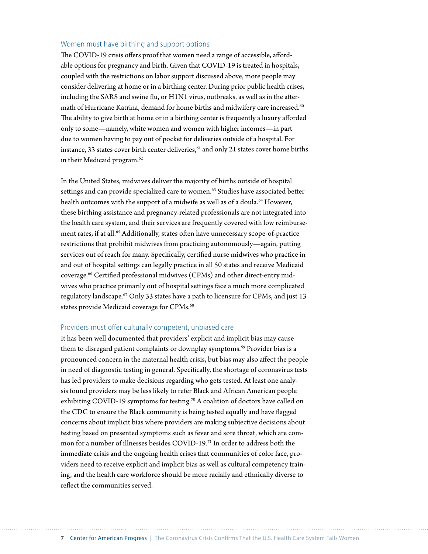#### Women must have birthing and support options

The COVID-19 crisis offers proof that women need a range of accessible, affordable options for pregnancy and birth. Given that COVID-19 is treated in hospitals, coupled with the restrictions on labor support discussed above, more people may consider delivering at home or in a birthing center. During prior public health crises, including the SARS and swine flu, or H1N1 virus, outbreaks, as well as in the aftermath of Hurricane Katrina, demand for home births and midwifery care increased.<sup>60</sup> The ability to give birth at home or in a birthing center is frequently a luxury afforded only to some—namely, white women and women with higher incomes—in part due to women having to pay out of pocket for deliveries outside of a hospital. For instance, 33 states cover birth center deliveries, $61$  and only 21 states cover home births in their Medicaid program.<sup>62</sup>

In the United States, midwives deliver the majority of births outside of hospital settings and can provide specialized care to women.<sup>63</sup> Studies have associated better health outcomes with the support of a midwife as well as of a doula.<sup>64</sup> However, these birthing assistance and pregnancy-related professionals are not integrated into the health care system, and their services are frequently covered with low reimbursement rates, if at all.<sup>65</sup> Additionally, states often have unnecessary scope-of-practice restrictions that prohibit midwives from practicing autonomously—again, putting services out of reach for many. Specifically, certified nurse midwives who practice in and out of hospital settings can legally practice in all 50 states and receive Medicaid coverage.66 Certified professional midwives (CPMs) and other direct-entry midwives who practice primarily out of hospital settings face a much more complicated regulatory landscape.<sup>67</sup> Only 33 states have a path to licensure for CPMs, and just 13 states provide Medicaid coverage for CPMs.<sup>68</sup>

#### Providers must offer culturally competent, unbiased care

It has been well documented that providers' explicit and implicit bias may cause them to disregard patient complaints or downplay symptoms.<sup>69</sup> Provider bias is a pronounced concern in the maternal health crisis, but bias may also affect the people in need of diagnostic testing in general. Specifically, the shortage of coronavirus tests has led providers to make decisions regarding who gets tested. At least one analysis found providers may be less likely to refer Black and African American people exhibiting COVID-19 symptoms for testing.<sup>70</sup> A coalition of doctors have called on the CDC to ensure the Black community is being tested equally and have flagged concerns about implicit bias where providers are making subjective decisions about testing based on presented symptoms such as fever and sore throat, which are common for a number of illnesses besides COVID-19.71 In order to address both the immediate crisis and the ongoing health crises that communities of color face, providers need to receive explicit and implicit bias as well as cultural competency training, and the health care workforce should be more racially and ethnically diverse to reflect the communities served.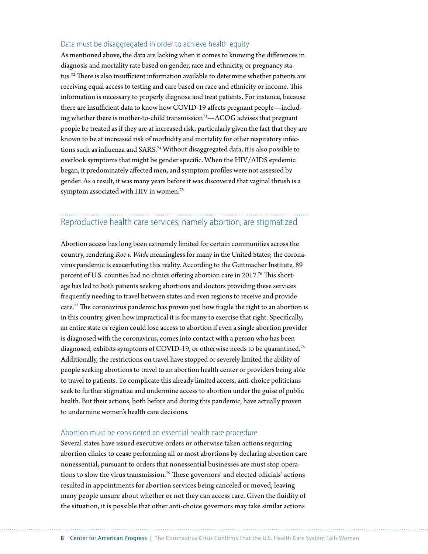#### Data must be disaggregated in order to achieve health equity

As mentioned above, the data are lacking when it comes to knowing the differences in diagnosis and mortality rate based on gender, race and ethnicity, or pregnancy status.72 There is also insufficient information available to determine whether patients are receiving equal access to testing and care based on race and ethnicity or income. This information is necessary to properly diagnose and treat patients. For instance, because there are insufficient data to know how COVID-19 affects pregnant people—including whether there is mother-to-child transmission<sup>73</sup>—ACOG advises that pregnant people be treated as if they are at increased risk, particularly given the fact that they are known to be at increased risk of morbidity and mortality for other respiratory infections such as influenza and SARS.<sup>74</sup> Without disaggregated data, it is also possible to overlook symptoms that might be gender specific. When the HIV/AIDS epidemic began, it predominately affected men, and symptom profiles were not assessed by gender. As a result, it was many years before it was discovered that vaginal thrush is a symptom associated with HIV in women.<sup>75</sup>

#### Reproductive health care services, namely abortion, are stigmatized

Abortion access has long been extremely limited for certain communities across the country, rendering *Roe v. Wade* meaningless for many in the United States; the coronavirus pandemic is exacerbating this reality. According to the Guttmacher Institute, 89 percent of U.S. counties had no clinics offering abortion care in 2017.<sup>76</sup> This shortage has led to both patients seeking abortions and doctors providing these services frequently needing to travel between states and even regions to receive and provide care.77 The coronavirus pandemic has proven just how fragile the right to an abortion is in this country, given how impractical it is for many to exercise that right. Specifically, an entire state or region could lose access to abortion if even a single abortion provider is diagnosed with the coronavirus, comes into contact with a person who has been diagnosed, exhibits symptoms of COVID-19, or otherwise needs to be quarantined.<sup>78</sup> Additionally, the restrictions on travel have stopped or severely limited the ability of people seeking abortions to travel to an abortion health center or providers being able to travel to patients. To complicate this already limited access, anti-choice politicians seek to further stigmatize and undermine access to abortion under the guise of public health. But their actions, both before and during this pandemic, have actually proven to undermine women's health care decisions.

#### Abortion must be considered an essential health care procedure

Several states have issued executive orders or otherwise taken actions requiring abortion clinics to cease performing all or most abortions by declaring abortion care nonessential, pursuant to orders that nonessential businesses are must stop operations to slow the virus transmission.79 These governors' and elected officials' actions resulted in appointments for abortion services being canceled or moved, leaving many people unsure about whether or not they can access care. Given the fluidity of the situation, it is possible that other anti-choice governors may take similar actions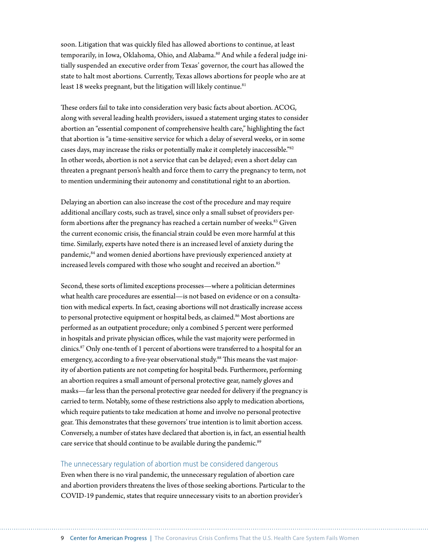soon. Litigation that was quickly filed has allowed abortions to continue, at least temporarily, in Iowa, Oklahoma, Ohio, and Alabama.<sup>80</sup> And while a federal judge initially suspended an executive order from Texas' governor, the court has allowed the state to halt most abortions. Currently, Texas allows abortions for people who are at least 18 weeks pregnant, but the litigation will likely continue.<sup>81</sup>

These orders fail to take into consideration very basic facts about abortion. ACOG, along with several leading health providers, issued a statement urging states to consider abortion an "essential component of comprehensive health care," highlighting the fact that abortion is "a time-sensitive service for which a delay of several weeks, or in some cases days, may increase the risks or potentially make it completely inaccessible."82 In other words, abortion is not a service that can be delayed; even a short delay can threaten a pregnant person's health and force them to carry the pregnancy to term, not to mention undermining their autonomy and constitutional right to an abortion.

Delaying an abortion can also increase the cost of the procedure and may require additional ancillary costs, such as travel, since only a small subset of providers perform abortions after the pregnancy has reached a certain number of weeks.<sup>83</sup> Given the current economic crisis, the financial strain could be even more harmful at this time. Similarly, experts have noted there is an increased level of anxiety during the pandemic,84 and women denied abortions have previously experienced anxiety at increased levels compared with those who sought and received an abortion.<sup>85</sup>

Second, these sorts of limited exceptions processes—where a politician determines what health care procedures are essential—is not based on evidence or on a consultation with medical experts. In fact, ceasing abortions will not drastically increase access to personal protective equipment or hospital beds, as claimed.<sup>86</sup> Most abortions are performed as an outpatient procedure; only a combined 5 percent were performed in hospitals and private physician offices, while the vast majority were performed in clinics.87 Only one-tenth of 1 percent of abortions were transferred to a hospital for an emergency, according to a five-year observational study.<sup>88</sup> This means the vast majority of abortion patients are not competing for hospital beds. Furthermore, performing an abortion requires a small amount of personal protective gear, namely gloves and masks—far less than the personal protective gear needed for delivery if the pregnancy is carried to term. Notably, some of these restrictions also apply to medication abortions, which require patients to take medication at home and involve no personal protective gear. This demonstrates that these governors' true intention is to limit abortion access. Conversely, a number of states have declared that abortion is, in fact, an essential health care service that should continue to be available during the pandemic.<sup>89</sup>

#### The unnecessary regulation of abortion must be considered dangerous

Even when there is no viral pandemic, the unnecessary regulation of abortion care and abortion providers threatens the lives of those seeking abortions. Particular to the COVID-19 pandemic, states that require unnecessary visits to an abortion provider's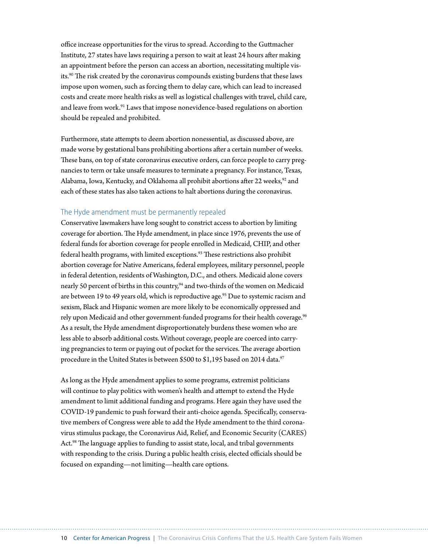office increase opportunities for the virus to spread. According to the Guttmacher Institute, 27 states have laws requiring a person to wait at least 24 hours after making an appointment before the person can access an abortion, necessitating multiple visits.90 The risk created by the coronavirus compounds existing burdens that these laws impose upon women, such as forcing them to delay care, which can lead to increased costs and create more health risks as well as logistical challenges with travel, child care, and leave from work.<sup>91</sup> Laws that impose nonevidence-based regulations on abortion should be repealed and prohibited.

Furthermore, state attempts to deem abortion nonessential, as discussed above, are made worse by gestational bans prohibiting abortions after a certain number of weeks. These bans, on top of state coronavirus executive orders, can force people to carry pregnancies to term or take unsafe measures to terminate a pregnancy. For instance, Texas, Alabama, Iowa, Kentucky, and Oklahoma all prohibit abortions after 22 weeks,<sup>92</sup> and each of these states has also taken actions to halt abortions during the coronavirus.

#### The Hyde amendment must be permanently repealed

Conservative lawmakers have long sought to constrict access to abortion by limiting coverage for abortion. The Hyde amendment, in place since 1976, prevents the use of federal funds for abortion coverage for people enrolled in Medicaid, CHIP, and other federal health programs, with limited exceptions.<sup>93</sup> These restrictions also prohibit abortion coverage for Native Americans, federal employees, military personnel, people in federal detention, residents of Washington, D.C., and others. Medicaid alone covers nearly 50 percent of births in this country,<sup>94</sup> and two-thirds of the women on Medicaid are between 19 to 49 years old, which is reproductive age.<sup>95</sup> Due to systemic racism and sexism, Black and Hispanic women are more likely to be economically oppressed and rely upon Medicaid and other government-funded programs for their health coverage.<sup>96</sup> As a result, the Hyde amendment disproportionately burdens these women who are less able to absorb additional costs. Without coverage, people are coerced into carrying pregnancies to term or paying out of pocket for the services. The average abortion procedure in the United States is between \$500 to \$1,195 based on 2014 data.<sup>97</sup>

As long as the Hyde amendment applies to some programs, extremist politicians will continue to play politics with women's health and attempt to extend the Hyde amendment to limit additional funding and programs. Here again they have used the COVID-19 pandemic to push forward their anti-choice agenda. Specifically, conservative members of Congress were able to add the Hyde amendment to the third coronavirus stimulus package, the Coronavirus Aid, Relief, and Economic Security (CARES) Act.<sup>98</sup> The language applies to funding to assist state, local, and tribal governments with responding to the crisis. During a public health crisis, elected officials should be focused on expanding—not limiting—health care options.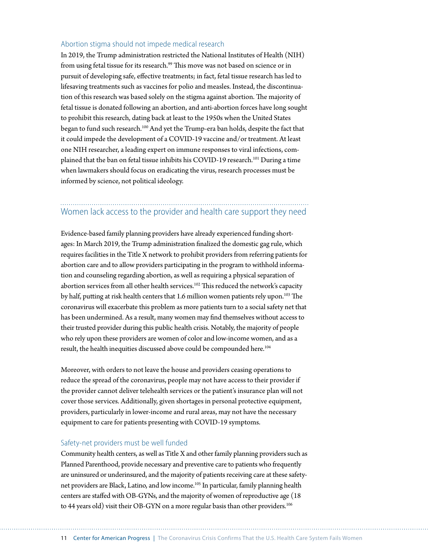#### Abortion stigma should not impede medical research

In 2019, the Trump administration restricted the National Institutes of Health (NIH) from using fetal tissue for its research.<sup>99</sup> This move was not based on science or in pursuit of developing safe, effective treatments; in fact, fetal tissue research has led to lifesaving treatments such as vaccines for polio and measles. Instead, the discontinuation of this research was based solely on the stigma against abortion. The majority of fetal tissue is donated following an abortion, and anti-abortion forces have long sought to prohibit this research, dating back at least to the 1950s when the United States began to fund such research.100 And yet the Trump-era ban holds, despite the fact that it could impede the development of a COVID-19 vaccine and/or treatment. At least one NIH researcher, a leading expert on immune responses to viral infections, complained that the ban on fetal tissue inhibits his COVID-19 research.101 During a time when lawmakers should focus on eradicating the virus, research processes must be informed by science, not political ideology.

# Women lack access to the provider and health care support they need

Evidence-based family planning providers have already experienced funding shortages: In March 2019, the Trump administration finalized the domestic gag rule, which requires facilities in the Title X network to prohibit providers from referring patients for abortion care and to allow providers participating in the program to withhold information and counseling regarding abortion, as well as requiring a physical separation of abortion services from all other health services.<sup>102</sup> This reduced the network's capacity by half, putting at risk health centers that 1.6 million women patients rely upon.<sup>103</sup> The coronavirus will exacerbate this problem as more patients turn to a social safety net that has been undermined. As a result, many women may find themselves without access to their trusted provider during this public health crisis. Notably, the majority of people who rely upon these providers are women of color and low-income women, and as a result, the health inequities discussed above could be compounded here.<sup>104</sup>

Moreover, with orders to not leave the house and providers ceasing operations to reduce the spread of the coronavirus, people may not have access to their provider if the provider cannot deliver telehealth services or the patient's insurance plan will not cover those services. Additionally, given shortages in personal protective equipment, providers, particularly in lower-income and rural areas, may not have the necessary equipment to care for patients presenting with COVID-19 symptoms.

#### Safety-net providers must be well funded

Community health centers, as well as Title X and other family planning providers such as Planned Parenthood, provide necessary and preventive care to patients who frequently are uninsured or underinsured, and the majority of patients receiving care at these safetynet providers are Black, Latino, and low income.105 In particular, family planning health centers are staffed with OB-GYNs, and the majority of women of reproductive age (18 to 44 years old) visit their OB-GYN on a more regular basis than other providers.<sup>106</sup>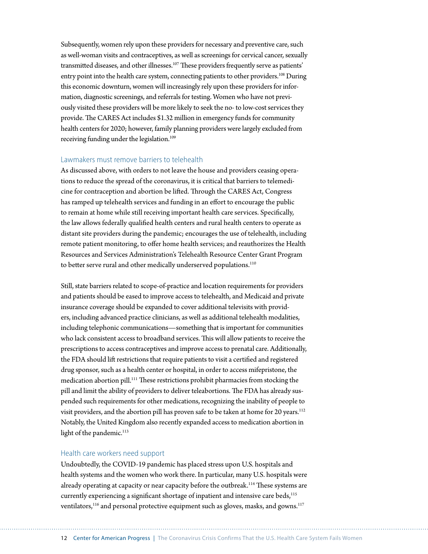Subsequently, women rely upon these providers for necessary and preventive care, such as well-woman visits and contraceptives, as well as screenings for cervical cancer, sexually transmitted diseases, and other illnesses.<sup>107</sup> These providers frequently serve as patients' entry point into the health care system, connecting patients to other providers.<sup>108</sup> During this economic downturn, women will increasingly rely upon these providers for information, diagnostic screenings, and referrals for testing. Women who have not previously visited these providers will be more likely to seek the no- to low-cost services they provide. The CARES Act includes \$1.32 million in emergency funds for community health centers for 2020; however, family planning providers were largely excluded from receiving funding under the legislation.<sup>109</sup>

#### Lawmakers must remove barriers to telehealth

As discussed above, with orders to not leave the house and providers ceasing operations to reduce the spread of the coronavirus, it is critical that barriers to telemedicine for contraception and abortion be lifted. Through the CARES Act, Congress has ramped up telehealth services and funding in an effort to encourage the public to remain at home while still receiving important health care services. Specifically, the law allows federally qualified health centers and rural health centers to operate as distant site providers during the pandemic; encourages the use of telehealth, including remote patient monitoring, to offer home health services; and reauthorizes the Health Resources and Services Administration's Telehealth Resource Center Grant Program to better serve rural and other medically underserved populations.<sup>110</sup>

Still, state barriers related to scope-of-practice and location requirements for providers and patients should be eased to improve access to telehealth, and Medicaid and private insurance coverage should be expanded to cover additional televisits with providers, including advanced practice clinicians, as well as additional telehealth modalities, including telephonic communications—something that is important for communities who lack consistent access to broadband services. This will allow patients to receive the prescriptions to access contraceptives and improve access to prenatal care. Additionally, the FDA should lift restrictions that require patients to visit a certified and registered drug sponsor, such as a health center or hospital, in order to access mifepristone, the medication abortion pill.111 These restrictions prohibit pharmacies from stocking the pill and limit the ability of providers to deliver teleabortions. The FDA has already suspended such requirements for other medications, recognizing the inability of people to visit providers, and the abortion pill has proven safe to be taken at home for 20 years.<sup>112</sup> Notably, the United Kingdom also recently expanded access to medication abortion in light of the pandemic.<sup>113</sup>

#### Health care workers need support

Undoubtedly, the COVID-19 pandemic has placed stress upon U.S. hospitals and health systems and the women who work there. In particular, many U.S. hospitals were already operating at capacity or near capacity before the outbreak.<sup>114</sup> These systems are currently experiencing a significant shortage of inpatient and intensive care beds,<sup>115</sup> ventilators, $116$  and personal protective equipment such as gloves, masks, and gowns. $117$ 

12 Center for American Progress | The Coronavirus Crisis Confirms That the U.S. Health Care System Fails Women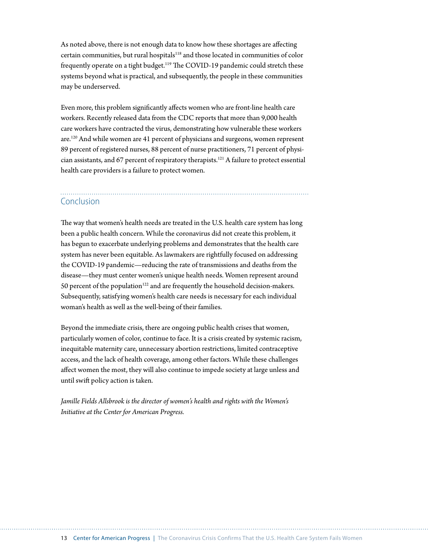As noted above, there is not enough data to know how these shortages are affecting certain communities, but rural hospitals<sup>118</sup> and those located in communities of color frequently operate on a tight budget.<sup>119</sup> The COVID-19 pandemic could stretch these systems beyond what is practical, and subsequently, the people in these communities may be underserved.

Even more, this problem significantly affects women who are front-line health care workers. Recently released data from the CDC reports that more than 9,000 health care workers have contracted the virus, demonstrating how vulnerable these workers are.120 And while women are 41 percent of physicians and surgeons, women represent 89 percent of registered nurses, 88 percent of nurse practitioners, 71 percent of physician assistants, and 67 percent of respiratory therapists.121 A failure to protect essential health care providers is a failure to protect women.

## Conclusion

The way that women's health needs are treated in the U.S. health care system has long been a public health concern. While the coronavirus did not create this problem, it has begun to exacerbate underlying problems and demonstrates that the health care system has never been equitable. As lawmakers are rightfully focused on addressing the COVID-19 pandemic—reducing the rate of transmissions and deaths from the disease—they must center women's unique health needs. Women represent around 50 percent of the population<sup>122</sup> and are frequently the household decision-makers. Subsequently, satisfying women's health care needs is necessary for each individual woman's health as well as the well-being of their families.

Beyond the immediate crisis, there are ongoing public health crises that women, particularly women of color, continue to face. It is a crisis created by systemic racism, inequitable maternity care, unnecessary abortion restrictions, limited contraceptive access, and the lack of health coverage, among other factors. While these challenges affect women the most, they will also continue to impede society at large unless and until swift policy action is taken.

*Jamille Fields Allsbrook is the director of women's health and rights with the Women's Initiative at the Center for American Progress.*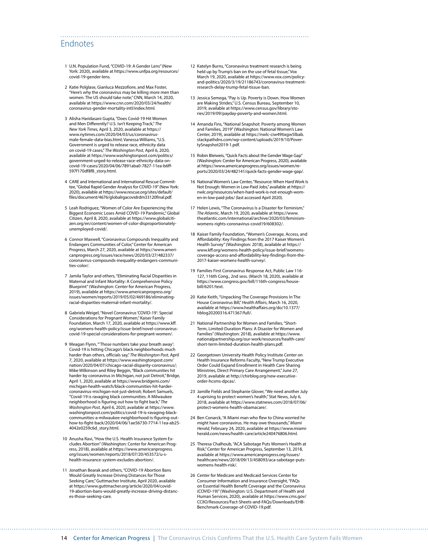### Endnotes

- 1 U.N. Population Fund, "COVID-19: A Gender Lens" (New York: 2020), available at [https://www.unfpa.org/resources/](https://www.unfpa.org/resources/covid-19-gender-lens) [covid-19-gender-lens.](https://www.unfpa.org/resources/covid-19-gender-lens)
- 2 Katie Polglase, Gianluca Mezzofiore, and Max Foster, "Here's why the coronavirus may be killing more men than women. The US should take note," CNN, March 14, 2020, available at [https://www.cnn.com/2020/03/24/health/](https://www.cnn.com/2020/03/24/health/coronavirus-gender-mortality-intl/index.html) [coronavirus-gender-mortality-intl/index.html](https://www.cnn.com/2020/03/24/health/coronavirus-gender-mortality-intl/index.html).
- 3 Alisha Haridasani Gupta, "Does Covid-19 Hit Women and Men Differently? U.S. Isn't Keeping Track," *The New York Times,* April 3, 2020, available at [https://](https://www.nytimes.com/2020/04/03/us/coronavirus-male-female-data-bias.html) [www.nytimes.com/2020/04/03/us/coronavirus](https://www.nytimes.com/2020/04/03/us/coronavirus-male-female-data-bias.html)[male-female-data-bias.html](https://www.nytimes.com/2020/04/03/us/coronavirus-male-female-data-bias.html); Vanessa Williams, "U.S. Government is urged to release race, ethnicity data on covid-19 cases," *The Washington Post,* April 6, 2020, available at [https://www.washingtonpost.com/politics/](https://www.washingtonpost.com/politics/government-urged-to-release-race-ethnicity-data-on-covid-19-cases/2020/04/06/7891aba0-7827-11ea-b6ff-597f170df8f8_story.html) [government-urged-to-release-race-ethnicity-data-on](https://www.washingtonpost.com/politics/government-urged-to-release-race-ethnicity-data-on-covid-19-cases/2020/04/06/7891aba0-7827-11ea-b6ff-597f170df8f8_story.html)[covid-19-cases/2020/04/06/7891aba0-7827-11ea-b6ff-](https://www.washingtonpost.com/politics/government-urged-to-release-race-ethnicity-data-on-covid-19-cases/2020/04/06/7891aba0-7827-11ea-b6ff-597f170df8f8_story.html)[597f170df8f8\\_story.html.](https://www.washingtonpost.com/politics/government-urged-to-release-race-ethnicity-data-on-covid-19-cases/2020/04/06/7891aba0-7827-11ea-b6ff-597f170df8f8_story.html)
- 4 CARE and International and International Rescue Committee, "Global Rapid Gender Analysis for COVID-19" (New York: 2020), available at [https://www.rescue.org/sites/default/](https://www.rescue.org/sites/default/files/document/4676/globalrgacovidrdm33120final.pdf) [files/document/4676/globalrgacovidrdm33120final.pdf](https://www.rescue.org/sites/default/files/document/4676/globalrgacovidrdm33120final.pdf).
- 5 Leah Rodriguez, "Women of Color Are Experiencing the Biggest Economic Loses Amid COVID-19 Pandemic," Global Citizen, April 8, 2020, available at [https://www.globalciti](https://www.globalcitizen.org/en/content/women-of-color-disproportionately-unemployed-covid/)[zen.org/en/content/women-of-color-disproportionately](https://www.globalcitizen.org/en/content/women-of-color-disproportionately-unemployed-covid/)[unemployed-covid/.](https://www.globalcitizen.org/en/content/women-of-color-disproportionately-unemployed-covid/)
- 6 Connor Maxwell, "Coronavirus Compounds Inequality and Endangers Communities of Color," Center for American Progress, March 27, 2020, available at [https://www.ameri](https://www.americanprogress.org/issues/race/news/2020/03/27/482337/coronavirus-compounds-inequality-endangers-communities-color/)[canprogress.org/issues/race/news/2020/03/27/482337/](https://www.americanprogress.org/issues/race/news/2020/03/27/482337/coronavirus-compounds-inequality-endangers-communities-color/) [coronavirus-compounds-inequality-endangers-communi](https://www.americanprogress.org/issues/race/news/2020/03/27/482337/coronavirus-compounds-inequality-endangers-communities-color/)[ties-color/.](https://www.americanprogress.org/issues/race/news/2020/03/27/482337/coronavirus-compounds-inequality-endangers-communities-color/)
- 7 Jamila Taylor and others, "Eliminating Racial Disparities in Maternal and Infant Mortality: A Comprehensive Policy Blueprint" (Washington: Center for American Progress, 2019), available at [https://www.americanprogress.org/](https://www.americanprogress.org/issues/women/reports/2019/05/02/469186/eliminating-racial-disparities-maternal-infant-mortality/) [issues/women/reports/2019/05/02/469186/eliminating](https://www.americanprogress.org/issues/women/reports/2019/05/02/469186/eliminating-racial-disparities-maternal-infant-mortality/)[racial-disparities-maternal-infant-mortality/](https://www.americanprogress.org/issues/women/reports/2019/05/02/469186/eliminating-racial-disparities-maternal-infant-mortality/).
- 8 Gabriela Weigel, "Novel Coronavirus 'COVID-19': Special Considerations for Pregnant Women," Kaiser Family Foundation, March 17, 2020, available at [https://www.kff.](https://www.kff.org/womens-health-policy/issue-brief/novel-coronavirus-covid-19-special-considerations-for-pregnant-women/) [org/womens-health-policy/issue-brief/novel-coronavirus](https://www.kff.org/womens-health-policy/issue-brief/novel-coronavirus-covid-19-special-considerations-for-pregnant-women/)[covid-19-special-considerations-for-pregnant-women/](https://www.kff.org/womens-health-policy/issue-brief/novel-coronavirus-covid-19-special-considerations-for-pregnant-women/).
- 9 Meagan Flynn, "'Those numbers take your breath away': Covid-19 is hitting Chicago's black neighborhoods much harder than others, officials say," *The Washington Post*, April 7, 2020, available at [https://www.washingtonpost.com/](https://www.washingtonpost.com/nation/2020/04/07/chicago-racial-disparity-coronavirus/) [nation/2020/04/07/chicago-racial-disparity-coronavirus/;](https://www.washingtonpost.com/nation/2020/04/07/chicago-racial-disparity-coronavirus/) Mike Wilkinson and Riley Beggin, "Black communities hit harder by coronavirus in Michigan, not just Detroit," Bridge, April 1, 2020, available at [https://www.bridgemi.com/](https://www.bridgemi.com/michigan-health-watch/black-communities-hit-harder-coronavirus-michigan-not-just-detroit) [michigan-health-watch/black-communities-hit-harder](https://www.bridgemi.com/michigan-health-watch/black-communities-hit-harder-coronavirus-michigan-not-just-detroit)[coronavirus-michigan-not-just-detroit;](https://www.bridgemi.com/michigan-health-watch/black-communities-hit-harder-coronavirus-michigan-not-just-detroit) Robert Samuels, "Covid-19 is ravaging black communities. A Milwaukee neighborhood is figuring out how to fight back," *The Washington Post*, April 6, 2020, available at [https://www.](https://www.washingtonpost.com/politics/covid-19-is-ravaging-black-communities-a-milwaukee-neighborhood-is-figuring-out-how-to-fight-back/2020/04/06/1ae56730-7714-11ea-ab25-4042e0259c6d_story.html) [washingtonpost.com/politics/covid-19-is-ravaging-black](https://www.washingtonpost.com/politics/covid-19-is-ravaging-black-communities-a-milwaukee-neighborhood-is-figuring-out-how-to-fight-back/2020/04/06/1ae56730-7714-11ea-ab25-4042e0259c6d_story.html)[communities-a-milwaukee-neighborhood-is-figuring-out](https://www.washingtonpost.com/politics/covid-19-is-ravaging-black-communities-a-milwaukee-neighborhood-is-figuring-out-how-to-fight-back/2020/04/06/1ae56730-7714-11ea-ab25-4042e0259c6d_story.html)[how-to-fight-back/2020/04/06/1ae56730-7714-11ea-ab25-](https://www.washingtonpost.com/politics/covid-19-is-ravaging-black-communities-a-milwaukee-neighborhood-is-figuring-out-how-to-fight-back/2020/04/06/1ae56730-7714-11ea-ab25-4042e0259c6d_story.html) [4042e0259c6d\\_story.html](https://www.washingtonpost.com/politics/covid-19-is-ravaging-black-communities-a-milwaukee-neighborhood-is-figuring-out-how-to-fight-back/2020/04/06/1ae56730-7714-11ea-ab25-4042e0259c6d_story.html).
- 10 Anusha Ravi, "How the U.S. Health Insurance System Excludes Abortion" (Washington: Center for American Progress, 2018), available at [https://www.americanprogress.](https://www.americanprogress.org/issues/women/reports/2018/07/20/453572/u-s-health-insurance-system-excludes-abortion/) [org/issues/women/reports/2018/07/20/453572/u-s](https://www.americanprogress.org/issues/women/reports/2018/07/20/453572/u-s-health-insurance-system-excludes-abortion/)[health-insurance-system-excludes-abortion/](https://www.americanprogress.org/issues/women/reports/2018/07/20/453572/u-s-health-insurance-system-excludes-abortion/).
- 11 Jonathan Bearak and others, "COVID-19 Abortion Bans Would Greatly Increase Driving Distances for Those Seeking Care," Guttmacher Institute, April 2020, available at [https://www.guttmacher.org/article/2020/04/covid-](https://www.guttmacher.org/article/2020/04/covid-19-abortion-bans-would-greatly-increase-driving-distances-those-seeking-care)[19-abortion-bans-would-greatly-increase-driving-distanc](https://www.guttmacher.org/article/2020/04/covid-19-abortion-bans-would-greatly-increase-driving-distances-those-seeking-care)[es-those-seeking-care.](https://www.guttmacher.org/article/2020/04/covid-19-abortion-bans-would-greatly-increase-driving-distances-those-seeking-care)

12 Katelyn Burns, "Coronavirus treatment research is being held up by Trump's ban on the use of fetal tissue," Vox March 19, 2020, available at [https://www.vox.com/policy-](https://www.vox.com/policy-and-politics/2020/3/19/21186743/coronavirus-treatment-research-delay-trump-fetal-tissue-ban)[and-politics/2020/3/19/21186743/coronavirus-treatment](https://www.vox.com/policy-and-politics/2020/3/19/21186743/coronavirus-treatment-research-delay-trump-fetal-tissue-ban)[research-delay-trump-fetal-tissue-ban.](https://www.vox.com/policy-and-politics/2020/3/19/21186743/coronavirus-treatment-research-delay-trump-fetal-tissue-ban)

- 13 Jessica Semega, "Pay is Up. Poverty is Down. How Women are Making Strides," U.S. Census Bureau, September 10, 2019, available at [https://www.census.gov/library/sto](https://www.census.gov/library/stories/2019/09/payday-poverty-and-women.html)[ries/2019/09/payday-poverty-and-women.html.](https://www.census.gov/library/stories/2019/09/payday-poverty-and-women.html)
- 14 Amanda Fins, "National Snapshot: Poverty among Women and Families, 2019" (Washington: National Women's Law Center, 2019), available at [https://nwlc-ciw49tixgw5lbab.](https://nwlc-ciw49tixgw5lbab.stackpathdns.com/wp-content/uploads/2019/10/PovertySnapshot2019-1.pdf) [stackpathdns.com/wp-content/uploads/2019/10/Pover](https://nwlc-ciw49tixgw5lbab.stackpathdns.com/wp-content/uploads/2019/10/PovertySnapshot2019-1.pdf)[tySnapshot2019-1.pdf.](https://nwlc-ciw49tixgw5lbab.stackpathdns.com/wp-content/uploads/2019/10/PovertySnapshot2019-1.pdf)
- 15 Robin Bleiweis, "Quick Facts about the Gender Wage Gap" (Washington: Center for American Progress, 2020), available at [https://www.americanprogress.org/issues/women/re](https://www.americanprogress.org/issues/women/reports/2020/03/24/482141/quick-facts-gender-wage-gap/)[ports/2020/03/24/482141/quick-facts-gender-wage-gap/](https://www.americanprogress.org/issues/women/reports/2020/03/24/482141/quick-facts-gender-wage-gap/).
- 16 National Women's Law Center, "Resource: When Hard Work Is Not Enough: Women in Low-Paid Jobs," available at [https://](https://nwlc.org/resources/when-hard-work-is-not-enough-women-in-low-paid-jobs/) [nwlc.org/resources/when-hard-work-is-not-enough-wom](https://nwlc.org/resources/when-hard-work-is-not-enough-women-in-low-paid-jobs/)[en-in-low-paid-jobs/](https://nwlc.org/resources/when-hard-work-is-not-enough-women-in-low-paid-jobs/) (last accessed April 2020).
- 17 Helen Lewis, "The Coronavirus Is a Disaster for Feminism," *The Atlantic*, March 19, 2020, available at [https://www.](https://www.theatlantic.com/international/archive/2020/03/feminism-womens-rights-coronavirus-covid19/608302/) [theatlantic.com/international/archive/2020/03/feminism](https://www.theatlantic.com/international/archive/2020/03/feminism-womens-rights-coronavirus-covid19/608302/)[womens-rights-coronavirus-covid19/608302/.](https://www.theatlantic.com/international/archive/2020/03/feminism-womens-rights-coronavirus-covid19/608302/)
- 18 Kaiser Family Foundation, "Women's Coverage, Access, and Affordability: Key Findings from the 2017 Kaiser Women's Health Survey" (Washington: 2018), available at [https://](https://www.kff.org/womens-health-policy/issue-brief/womens-coverage-access-and-affordability-key-findings-from-the-2017-kaiser-womens-health-survey/) [www.kff.org/womens-health-policy/issue-brief/womens](https://www.kff.org/womens-health-policy/issue-brief/womens-coverage-access-and-affordability-key-findings-from-the-2017-kaiser-womens-health-survey/)[coverage-access-and-affordability-key-findings-from-the-](https://www.kff.org/womens-health-policy/issue-brief/womens-coverage-access-and-affordability-key-findings-from-the-2017-kaiser-womens-health-survey/)[2017-kaiser-womens-health-survey/.](https://www.kff.org/womens-health-policy/issue-brief/womens-coverage-access-and-affordability-key-findings-from-the-2017-kaiser-womens-health-survey/)
- 19 Families First Coronavirus Response Act, Public Law 116- 127, 116th Cong., 2nd sess. (March 18, 2020), available at [https://www.congress.gov/bill/116th-congress/house](https://www.congress.gov/bill/116th-congress/house-bill/6201/text)[bill/6201/text.](https://www.congress.gov/bill/116th-congress/house-bill/6201/text)
- 20 Katie Keith, "Unpacking The Coverage Provisions In The House Coronavirus Bill," *Health Affairs*, March 16, 2020, available at [https://www.healthaffairs.org/do/10.1377/](https://www.healthaffairs.org/do/10.1377/hblog20200316.471367/full/) [hblog20200316.471367/full/](https://www.healthaffairs.org/do/10.1377/hblog20200316.471367/full/).
- 21 National Partnership for Women and Families, "Short-Term, Limited-Duration Plans: A Disaster for Women and Families" (Washington: 2018), available at [https://www.](https://www.nationalpartnership.org/our-work/resources/health-care/short-term-limited-duration-health-plans.pdf) [nationalpartnership.org/our-work/resources/health-care/](https://www.nationalpartnership.org/our-work/resources/health-care/short-term-limited-duration-health-plans.pdf) [short-term-limited-duration-health-plans.pdf.](https://www.nationalpartnership.org/our-work/resources/health-care/short-term-limited-duration-health-plans.pdf)
- 22 Georgetown University Health Policy Institute Center on Health Insurance Reforms Faculty, "New Trump Executive Order Could Expand Enrollment in Health Care Sharing Ministries, Direct Primary Care Arrangement," June 27, 2019, available at [http://chirblog.org/new-executive](http://chirblog.org/new-executive-order-hcsms-dpcas/)[order-hcsms-dpcas/](http://chirblog.org/new-executive-order-hcsms-dpcas/).
- 23 Jamille Fields and Stephanie Glover, "We need another July 4 uprising to protect women's health," Stat News, July 6, 2018, available at [https://www.statnews.com/2018/07/06/](https://www.statnews.com/2018/07/06/protect-womens-health-obamacare/) [protect-womens-health-obamacare/.](https://www.statnews.com/2018/07/06/protect-womens-health-obamacare/)
- 24 Ben Conarck, "A Miami man who flew to China worried he might have coronavirus. He may owe thousands," *Miami Herald,* February 24, 2020, available at [https://www.miami](https://www.miamiherald.com/news/health-care/article240476806.html)[herald.com/news/health-care/article240476806.html.](https://www.miamiherald.com/news/health-care/article240476806.html)
- 25 Theresa Chalhoub, "ACA Sabotage Puts Women's Health at Risk," Center for American Progress, September 13, 2018, available at [https://www.americanprogress.org/issues/](https://www.americanprogress.org/issues/healthcare/news/2018/09/13/458093/aca-sabotage-puts-womens-health-risk/) [healthcare/news/2018/09/13/458093/aca-sabotage-puts](https://www.americanprogress.org/issues/healthcare/news/2018/09/13/458093/aca-sabotage-puts-womens-health-risk/)[womens-health-risk/](https://www.americanprogress.org/issues/healthcare/news/2018/09/13/458093/aca-sabotage-puts-womens-health-risk/).
- 26 Center for Medicare and Medicaid Services Center for Consumer Information and Insurance Oversight, "FAQs on Essential Health Benefit Coverage and the Coronavirus (COVID-19)" (Washington: U.S. Department of Health and Human Services, 2020), available at [https://www.cms.gov/](https://www.cms.gov/CCIIO/Resources/Fact-Sheets-and-FAQs/Downloads/EHB-Benchmark-Coverage-of-COVID-19.pdf) [CCIIO/Resources/Fact-Sheets-and-FAQs/Downloads/EHB-](https://www.cms.gov/CCIIO/Resources/Fact-Sheets-and-FAQs/Downloads/EHB-Benchmark-Coverage-of-COVID-19.pdf)[Benchmark-Coverage-of-COVID-19.pdf](https://www.cms.gov/CCIIO/Resources/Fact-Sheets-and-FAQs/Downloads/EHB-Benchmark-Coverage-of-COVID-19.pdf).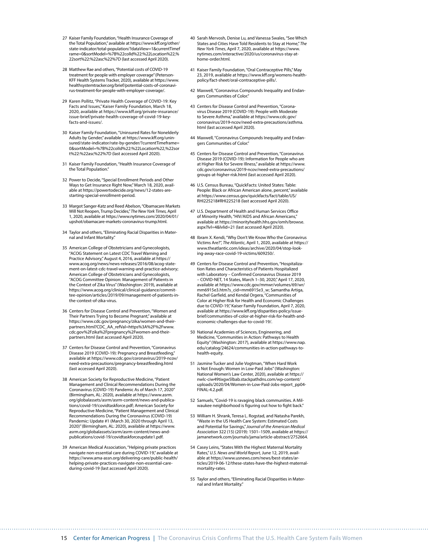- 27 Kaiser Family Foundation, "Health Insurance Coverage of the Total Population," available at [https://www.kff.org/other/](https://www.kff.org/other/state-indicator/total-population/?dataView=1¤tTimeframe=0&sortModel=%7B%22colId%22:%22Location%22,%22sort%22:%22asc%22%7D) [state-indicator/total-population/?dataView=1&currentTimef](https://www.kff.org/other/state-indicator/total-population/?dataView=1¤tTimeframe=0&sortModel=%7B%22colId%22:%22Location%22,%22sort%22:%22asc%22%7D) [rame=0&sortModel=%7B%22colId%22:%22Location%22,%](https://www.kff.org/other/state-indicator/total-population/?dataView=1¤tTimeframe=0&sortModel=%7B%22colId%22:%22Location%22,%22sort%22:%22asc%22%7D) [22sort%22:%22asc%22%7D](https://www.kff.org/other/state-indicator/total-population/?dataView=1¤tTimeframe=0&sortModel=%7B%22colId%22:%22Location%22,%22sort%22:%22asc%22%7D) (last accessed April 2020).
- 28 Matthew Rae and others, "Potential costs of COVID-19 treatment for people with employer coverage" (Peterson-KFF Health Systems Tracker, 2020), available at [https://www.](https://www.healthsystemtracker.org/brief/potential-costs-of-coronavirus-treatment-for-people-with-employer-coverage/) [healthsystemtracker.org/brief/potential-costs-of-coronavi](https://www.healthsystemtracker.org/brief/potential-costs-of-coronavirus-treatment-for-people-with-employer-coverage/)[rus-treatment-for-people-with-employer-coverage/](https://www.healthsystemtracker.org/brief/potential-costs-of-coronavirus-treatment-for-people-with-employer-coverage/).
- 29 Karen Pollitz, "Private Health Coverage of COVID-19: Key Facts and Issues," Kaiser Family Foundation, March 18, 2020, available at [https://www.kff.org/private-insurance/](https://www.kff.org/private-insurance/issue-brief/private-health-coverage-of-covid-19-key-facts-and-issues/) [issue-brief/private-health-coverage-of-covid-19-key](https://www.kff.org/private-insurance/issue-brief/private-health-coverage-of-covid-19-key-facts-and-issues/)[facts-and-issues/.](https://www.kff.org/private-insurance/issue-brief/private-health-coverage-of-covid-19-key-facts-and-issues/)
- 30 Kaiser Family Foundation, "Uninsured Rates for Nonelderly Adults by Gender," available at [https://www.kff.org/unin](https://www.kff.org/uninsured/state-indicator/rate-by-gender/?currentTimeframe=0&sortModel=%7B%22colId%22:%22Location%22,%22sort%22:%22asc%22%7D)[sured/state-indicator/rate-by-gender/?currentTimeframe=](https://www.kff.org/uninsured/state-indicator/rate-by-gender/?currentTimeframe=0&sortModel=%7B%22colId%22:%22Location%22,%22sort%22:%22asc%22%7D) [0&sortModel=%7B%22colId%22:%22Location%22,%22sor](https://www.kff.org/uninsured/state-indicator/rate-by-gender/?currentTimeframe=0&sortModel=%7B%22colId%22:%22Location%22,%22sort%22:%22asc%22%7D) [t%22:%22asc%22%7D](https://www.kff.org/uninsured/state-indicator/rate-by-gender/?currentTimeframe=0&sortModel=%7B%22colId%22:%22Location%22,%22sort%22:%22asc%22%7D) (last accessed April 2020).
- 31 Kaiser Family Foundation, "Health Insurance Coverage of the Total Population."
- 32 Power to Decide, "Special Enrollment Periods and Other Ways to Get Insurance Right Now," March 18, 2020, available at [https://powertodecide.org/news/12-states-are](https://powertodecide.org/news/12-states-are-starting-special-enrollment-period)[starting-special-enrollment-period.](https://powertodecide.org/news/12-states-are-starting-special-enrollment-period)
- 33 Margot Sanger-Katz and Reed Abelson, "Obamacare Markets Will Not Reopen, Trump Decides," *The New York Times,* April 1, 2020, available at [https://www.nytimes.com/2020/04/01/](https://www.nytimes.com/2020/04/01/upshot/obamacare-markets-coronavirus-trump.html) [upshot/obamacare-markets-coronavirus-trump.html](https://www.nytimes.com/2020/04/01/upshot/obamacare-markets-coronavirus-trump.html).
- 34 Taylor and others, "Eliminating Racial Disparities in Maternal and Infant Mortality."
- 35 American College of Obstetricians and Gynecologists, "ACOG Statement on Latest CDC Travel Warning and Practice Advisory," August 4, 2016, available at [https://](https://www.acog.org/news/news-releases/2016/08/acog-statement-on-latest-cdc-travel-warning-and-practice-advisory) [www.acog.org/news/news-releases/2016/08/acog-state](https://www.acog.org/news/news-releases/2016/08/acog-statement-on-latest-cdc-travel-warning-and-practice-advisory)[ment-on-latest-cdc-travel-warning-and-practice-advisory;](https://www.acog.org/news/news-releases/2016/08/acog-statement-on-latest-cdc-travel-warning-and-practice-advisory) American College of Obstetricians and Gynecologists, "ACOG Committee Opinion: Management of Patients in the Context of Zika Virus" (Washington: 2019), available at [https://www.acog.org/clinical/clinical-guidance/commit](https://www.acog.org/clinical/clinical-guidance/committee-opinion/articles/2019/09/management-of-patients-in-the-context-of-zika-virus)[tee-opinion/articles/2019/09/management-of-patients-in](https://www.acog.org/clinical/clinical-guidance/committee-opinion/articles/2019/09/management-of-patients-in-the-context-of-zika-virus)[the-context-of-zika-virus.](https://www.acog.org/clinical/clinical-guidance/committee-opinion/articles/2019/09/management-of-patients-in-the-context-of-zika-virus)
- 36 Centers for Disease Control and Prevention, "Women and Their Partners Trying to Become Pregnant," available at [https://www.cdc.gov/pregnancy/zika/women-and-their](https://www.cdc.gov/pregnancy/zika/women-and-their-partners.html?CDC_AA_refVal=https%3A%2F%2Fwww.cdc.gov%2Fzika%2Fpregnancy%2Fwomen-and-their-partners.html)[partners.html?CDC\\_AA\\_refVal=https%3A%2F%2Fwww.](https://www.cdc.gov/pregnancy/zika/women-and-their-partners.html?CDC_AA_refVal=https%3A%2F%2Fwww.cdc.gov%2Fzika%2Fpregnancy%2Fwomen-and-their-partners.html) [cdc.gov%2Fzika%2Fpregnancy%2Fwomen-and-their](https://www.cdc.gov/pregnancy/zika/women-and-their-partners.html?CDC_AA_refVal=https%3A%2F%2Fwww.cdc.gov%2Fzika%2Fpregnancy%2Fwomen-and-their-partners.html)[partners.html](https://www.cdc.gov/pregnancy/zika/women-and-their-partners.html?CDC_AA_refVal=https%3A%2F%2Fwww.cdc.gov%2Fzika%2Fpregnancy%2Fwomen-and-their-partners.html) (last accessed April 2020).
- 37 Centers for Disease Control and Prevention, "Coronavirus Disease 2019 (COVID-19): Pregnancy and Breastfeeding," available at [https://www.cdc.gov/coronavirus/2019-ncov/](https://www.cdc.gov/coronavirus/2019-ncov/need-extra-precautions/pregnancy-breastfeeding.html) [need-extra-precautions/pregnancy-breastfeeding.html](https://www.cdc.gov/coronavirus/2019-ncov/need-extra-precautions/pregnancy-breastfeeding.html) (last accessed April 2020).
- 38 American Society for Reproductive Medicine, "Patient Management and Clinical Recommendations During the Coronavirus (COVID-19) Pandemic As of March 17, 2020" (Birmingham, AL: 2020), available at [https://www.asrm.](https://www.asrm.org/globalassets/asrm/asrm-content/news-and-publications/covid-19/covidtaskforce.pdf) [org/globalassets/asrm/asrm-content/news-and-publica](https://www.asrm.org/globalassets/asrm/asrm-content/news-and-publications/covid-19/covidtaskforce.pdf)[tions/covid-19/covidtaskforce.pdf](https://www.asrm.org/globalassets/asrm/asrm-content/news-and-publications/covid-19/covidtaskforce.pdf); American Society for Reproductive Medicine, "Patient Management and Clinical Recommendations During the Coronavirus (COVID-19) Pandemic: Update #1 (March 30, 2020 through April 13, 2020)" (Birmingham, AL: 2020), available at [https://www.](https://www.asrm.org/globalassets/asrm/asrm-content/news-and-publications/covid-19/covidtaskforceupdate1.pdf) [asrm.org/globalassets/asrm/asrm-content/news-and](https://www.asrm.org/globalassets/asrm/asrm-content/news-and-publications/covid-19/covidtaskforceupdate1.pdf)[publications/covid-19/covidtaskforceupdate1.pdf.](https://www.asrm.org/globalassets/asrm/asrm-content/news-and-publications/covid-19/covidtaskforceupdate1.pdf)
- 39 American Medical Association, "Helping private practices navigate non-essential care during COVID-19," available at [https://www.ama-assn.org/delivering-care/public-health/](https://www.ama-assn.org/delivering-care/public-health/helping-private-practices-navigate-non-essential-care-during-covid-19) [helping-private-practices-navigate-non-essential-care](https://www.ama-assn.org/delivering-care/public-health/helping-private-practices-navigate-non-essential-care-during-covid-19)[during-covid-19](https://www.ama-assn.org/delivering-care/public-health/helping-private-practices-navigate-non-essential-care-during-covid-19) (last accessed April 2020).
- 40 Sarah Mervosh, Denise Lu, and Vanessa Swales, "See Which States and Cities Have Told Residents to Stay at Home," *The New York Times*, April 7, 2020, available at [https://www.](https://www.nytimes.com/interactive/2020/us/coronavirus-stay-at-home-order.html) [nytimes.com/interactive/2020/us/coronavirus-stay-at](https://www.nytimes.com/interactive/2020/us/coronavirus-stay-at-home-order.html)[home-order.html](https://www.nytimes.com/interactive/2020/us/coronavirus-stay-at-home-order.html).
- 41 Kaiser Family Foundation, "Oral Contraceptive Pills," May 23, 2019, available at [https://www.kff.org/womens-health](https://www.kff.org/womens-health-policy/fact-sheet/oral-contraceptive-pills/)[policy/fact-sheet/oral-contraceptive-pills/.](https://www.kff.org/womens-health-policy/fact-sheet/oral-contraceptive-pills/)
- 42 Maxwell, "Coronavirus Compounds Inequality and Endangers Communities of Color.
- 43 Centers for Disease Control and Prevention, "Coronavirus Disease 2019 (COVID-19): People with Moderate to Severe Asthma," available at [https://www.cdc.gov/](https://www.cdc.gov/coronavirus/2019-ncov/need-extra-precautions/asthma.html) [coronavirus/2019-ncov/need-extra-precautions/asthma.](https://www.cdc.gov/coronavirus/2019-ncov/need-extra-precautions/asthma.html) [html](https://www.cdc.gov/coronavirus/2019-ncov/need-extra-precautions/asthma.html) (last accessed April 2020).
- 44 Maxwell, "Coronavirus Compounds Inequality and Endangers Communities of Color."
- 45 Centers for Disease Control and Prevention, "Coronavirus Disease 2019 (COVID-19): Information for People who are at Higher Risk for Severe Illness," available at [https://www.](https://www.cdc.gov/coronavirus/2019-ncov/need-extra-precautions/groups-at-higher-risk.html) [cdc.gov/coronavirus/2019-ncov/need-extra-precautions/](https://www.cdc.gov/coronavirus/2019-ncov/need-extra-precautions/groups-at-higher-risk.html) [groups-at-higher-risk.html](https://www.cdc.gov/coronavirus/2019-ncov/need-extra-precautions/groups-at-higher-risk.html) (last accessed April 2020).
- 46 U.S. Census Bureau, "QuickFacts: United States: Table: People: Black or African American alone, percent," available at https://www.census.gov/quickfacts/fact/table/US/ RHI225218#RHI225218 (last accessed April 2020).
- 47 U.S. Department of Health and Human Services Office of Minority Health, "HIV/AIDS and African Americans," available at [https://minorityhealth.hhs.gov/omh/browse.](https://minorityhealth.hhs.gov/omh/browse.aspx?lvl=4&lvlid=21) [aspx?lvl=4&lvlid=21](https://minorityhealth.hhs.gov/omh/browse.aspx?lvl=4&lvlid=21) (last accessed April 2020).
- 48 Ibram X. Kendi, "Why Don't We Know Who the Coronavirus Victims Are?", *The Atlantic*, April 1, 2020, available at [https://](https://www.theatlantic.com/ideas/archive/2020/04/stop-looking-away-race-covid-19-victims/609250/) [www.theatlantic.com/ideas/archive/2020/04/stop-look](https://www.theatlantic.com/ideas/archive/2020/04/stop-looking-away-race-covid-19-victims/609250/)[ing-away-race-covid-19-victims/609250/](https://www.theatlantic.com/ideas/archive/2020/04/stop-looking-away-race-covid-19-victims/609250/).
- 49 Centers for Disease Control and Prevention, "Hospitalization Rates and Characteristics of Patients Hospitalized with Laboratory – Confirmed Coronavirus Disease 2019 – COVID-NET, 14 States, March 1–30, 2020," April 17, 2020, available at [https://www.cdc.gov/mmwr/volumes/69/wr/](https://www.cdc.gov/mmwr/volumes/69/wr/mm6915e3.htm?s_cid=mm6915e3_w) [mm6915e3.htm?s\\_cid=mm6915e3\\_w;](https://www.cdc.gov/mmwr/volumes/69/wr/mm6915e3.htm?s_cid=mm6915e3_w) Samantha Artiga, Rachel Garfield, and Kendal Orgera, "Communities of Color at Higher Risk for Health and Economic Challenges due to COVID-19," Kaiser Family Foundation, April 7, 2020, available at [https://www.kff.org/disparities-policy/issue](https://www.kff.org/disparities-policy/issue-brief/communities-of-color-at-higher-risk-for-health-and-economic-challenges-due-to-covid-19/)[brief/communities-of-color-at-higher-risk-for-health-and](https://www.kff.org/disparities-policy/issue-brief/communities-of-color-at-higher-risk-for-health-and-economic-challenges-due-to-covid-19/)[economic-challenges-due-to-covid-19/](https://www.kff.org/disparities-policy/issue-brief/communities-of-color-at-higher-risk-for-health-and-economic-challenges-due-to-covid-19/).
- 50 National Academies of Sciences, Engineering, and Medicine, "Communities in Action: Pathways to Health Equity" (Washington: 2017), available at [https://www.nap.](https://www.nap.edu/catalog/24624/communities-in-action-pathways-to-health-equity) [edu/catalog/24624/communities-in-action-pathways-to](https://www.nap.edu/catalog/24624/communities-in-action-pathways-to-health-equity)[health-equity](https://www.nap.edu/catalog/24624/communities-in-action-pathways-to-health-equity).
- 51 Jasmine Tucker and Julie Vogtman, "When Hard Work is Not Enough: Women in Low-Paid Jobs" (Washington: National Women's Law Center, 2020), available at [https://](https://nwlc-ciw49tixgw5lbab.stackpathdns.com/wp-content/uploads/2020/04/Women-in-Low-Paid-Jobs-report_pp04-FINAL-4.2.pdf) [nwlc-ciw49tixgw5lbab.stackpathdns.com/wp-content/](https://nwlc-ciw49tixgw5lbab.stackpathdns.com/wp-content/uploads/2020/04/Women-in-Low-Paid-Jobs-report_pp04-FINAL-4.2.pdf) [uploads/2020/04/Women-in-Low-Paid-Jobs-report\\_pp04-](https://nwlc-ciw49tixgw5lbab.stackpathdns.com/wp-content/uploads/2020/04/Women-in-Low-Paid-Jobs-report_pp04-FINAL-4.2.pdf) [FINAL-4.2.pdf](https://nwlc-ciw49tixgw5lbab.stackpathdns.com/wp-content/uploads/2020/04/Women-in-Low-Paid-Jobs-report_pp04-FINAL-4.2.pdf).
- 52 Samuels, "Covid-19 is ravaging black communities. A Milwaukee neighborhood is figuring out how to fight back."
- 53 William H. Shrank, Teresa L. Rogstad, and Natasha Parekh, "Waste in the US Health Care System: Estimated Costs and Potential for Savings," *Journal of the American Medical Association* 322 (15) (2019): 1501–1509, available at [https://](https://jamanetwork.com/journals/jama/article-abstract/2752664) [jamanetwork.com/journals/jama/article-abstract/2752664](https://jamanetwork.com/journals/jama/article-abstract/2752664).
- 54 Casey Leins, "States With the Highest Maternal Mortality Rates," *U.S. News and World Report,* June 12, 2019, available at [https://www.usnews.com/news/best-states/ar](https://www.usnews.com/news/best-states/articles/2019-06-12/these-states-have-the-highest-maternal-mortality-rates)[ticles/2019-06-12/these-states-have-the-highest-maternal](https://www.usnews.com/news/best-states/articles/2019-06-12/these-states-have-the-highest-maternal-mortality-rates)[mortality-rates](https://www.usnews.com/news/best-states/articles/2019-06-12/these-states-have-the-highest-maternal-mortality-rates).
- 55 Taylor and others, "Eliminating Racial Disparities in Maternal and Infant Mortality."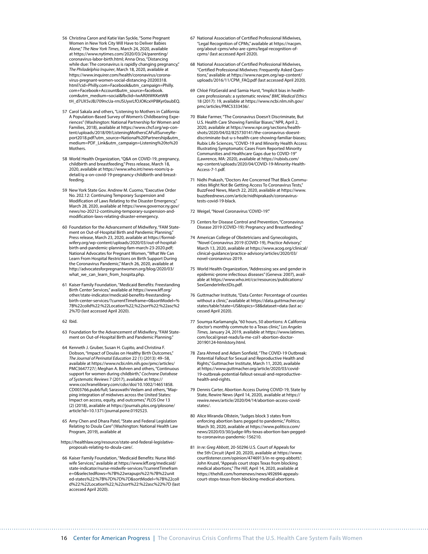- 56 Christina Caron and Katie Van Syckle, "Some Pregnant Women in New York City Will Have to Deliver Babies Alone," *The New York Times*, March 24, 2020, available at [https://www.nytimes.com/2020/03/24/parenting/](https://www.nytimes.com/2020/03/24/parenting/coronavirus-labor-birth.html) [coronavirus-labor-birth.html;](https://www.nytimes.com/2020/03/24/parenting/coronavirus-labor-birth.html) Anna Orso, "Distancing while due: The coronavirus is rapidly changing pregnancy," *The Philadelphia Inquirer*, March 18, 2020, available at [https://www.inquirer.com/health/coronavirus/corona](https://www.inquirer.com/health/coronavirus/coronavirus-pregnant-women-social-distancing-20200318.html?cid=Philly.com+Facebook&utm_campaign=Philly.com+Facebook+Account&utm_source=facebook.com&utm_medium=social&fbclid=IwAR0tWKKetWBtH_d7UX5vJBJ709ncUa-rmJSUyxrLfOJOKcxHP8Kyr0aubEQ)[virus-pregnant-women-social-distancing-20200318.](https://www.inquirer.com/health/coronavirus/coronavirus-pregnant-women-social-distancing-20200318.html?cid=Philly.com+Facebook&utm_campaign=Philly.com+Facebook+Account&utm_source=facebook.com&utm_medium=social&fbclid=IwAR0tWKKetWBtH_d7UX5vJBJ709ncUa-rmJSUyxrLfOJOKcxHP8Kyr0aubEQ) [html?cid=Philly.com+Facebook&utm\\_campaign=Philly.](https://www.inquirer.com/health/coronavirus/coronavirus-pregnant-women-social-distancing-20200318.html?cid=Philly.com+Facebook&utm_campaign=Philly.com+Facebook+Account&utm_source=facebook.com&utm_medium=social&fbclid=IwAR0tWKKetWBtH_d7UX5vJBJ709ncUa-rmJSUyxrLfOJOKcxHP8Kyr0aubEQ) [com+Facebook+Account&utm\\_source=facebook.](https://www.inquirer.com/health/coronavirus/coronavirus-pregnant-women-social-distancing-20200318.html?cid=Philly.com+Facebook&utm_campaign=Philly.com+Facebook+Account&utm_source=facebook.com&utm_medium=social&fbclid=IwAR0tWKKetWBtH_d7UX5vJBJ709ncUa-rmJSUyxrLfOJOKcxHP8Kyr0aubEQ) [com&utm\\_medium=social&fbclid=IwAR0tWKKetWB](https://www.inquirer.com/health/coronavirus/coronavirus-pregnant-women-social-distancing-20200318.html?cid=Philly.com+Facebook&utm_campaign=Philly.com+Facebook+Account&utm_source=facebook.com&utm_medium=social&fbclid=IwAR0tWKKetWBtH_d7UX5vJBJ709ncUa-rmJSUyxrLfOJOKcxHP8Kyr0aubEQ) [tH\\_d7UX5vJBJ709ncUa-rmJSUyxrLfOJOKcxHP8Kyr0aubEQ](https://www.inquirer.com/health/coronavirus/coronavirus-pregnant-women-social-distancing-20200318.html?cid=Philly.com+Facebook&utm_campaign=Philly.com+Facebook+Account&utm_source=facebook.com&utm_medium=social&fbclid=IwAR0tWKKetWBtH_d7UX5vJBJ709ncUa-rmJSUyxrLfOJOKcxHP8Kyr0aubEQ).
- 57 Carol Sakala and others, "Listening to Mothers in California: A Population-Based Survey of Women's Childbearing Experiences" (Washington: National Partnership for Women and Families, 2018), available at [https://www.chcf.org/wp-con](https://www.chcf.org/wp-content/uploads/2018/09/ListeningMothersCAFullSurveyReport2018.pdf?utm_source=National%20Partnership&utm_medium=PDF_Link&utm_campaign=Listening%20to%20Mothers)[tent/uploads/2018/09/ListeningMothersCAFullSurveyRe](https://www.chcf.org/wp-content/uploads/2018/09/ListeningMothersCAFullSurveyReport2018.pdf?utm_source=National%20Partnership&utm_medium=PDF_Link&utm_campaign=Listening%20to%20Mothers)[port2018.pdf?utm\\_source=National%20Partnership&utm\\_](https://www.chcf.org/wp-content/uploads/2018/09/ListeningMothersCAFullSurveyReport2018.pdf?utm_source=National%20Partnership&utm_medium=PDF_Link&utm_campaign=Listening%20to%20Mothers) [medium=PDF\\_Link&utm\\_campaign=Listening%20to%20](https://www.chcf.org/wp-content/uploads/2018/09/ListeningMothersCAFullSurveyReport2018.pdf?utm_source=National%20Partnership&utm_medium=PDF_Link&utm_campaign=Listening%20to%20Mothers) [Mothers](https://www.chcf.org/wp-content/uploads/2018/09/ListeningMothersCAFullSurveyReport2018.pdf?utm_source=National%20Partnership&utm_medium=PDF_Link&utm_campaign=Listening%20to%20Mothers).
- 58 World Health Organization, "Q&A on COVID-19, pregnancy, childbirth and breastfeeding," Press release, March 18, 2020, available at [https://www.who.int/news-room/q-a](https://www.who.int/news-room/q-a-detail/q-a-on-covid-19-pregnancy-childbirth-and-breastfeeding)[detail/q-a-on-covid-19-pregnancy-childbirth-and-breast](https://www.who.int/news-room/q-a-detail/q-a-on-covid-19-pregnancy-childbirth-and-breastfeeding)[feeding.](https://www.who.int/news-room/q-a-detail/q-a-on-covid-19-pregnancy-childbirth-and-breastfeeding)
- 59 New York State Gov. Andrew M. Cuomo, "Executive Order No. 202.12: Continuing Temporary Suspension and Modification of Laws Relating to the Disaster Emergency," March 28, 2020, available at [https://www.governor.ny.gov/](https://www.governor.ny.gov/news/no-20212-continuing-temporary-suspension-and-modification-laws-relating-disaster-emergency) [news/no-20212-continuing-temporary-suspension-and](https://www.governor.ny.gov/news/no-20212-continuing-temporary-suspension-and-modification-laws-relating-disaster-emergency)[modification-laws-relating-disaster-emergency.](https://www.governor.ny.gov/news/no-20212-continuing-temporary-suspension-and-modification-laws-relating-disaster-emergency)
- 60 Foundation for the Advancement of Midwifery, "FAM Statement on Out-of-Hospital Birth and Pandemic Planning," Press release, March 23, 2020, available at [https://formid](https://formidwifery.org/wp-content/uploads/2020/03/out-of-hospital-birth-and-pandemic-planning-fam-march-23-2020.pdf)[wifery.org/wp-content/uploads/2020/03/out-of-hospital](https://formidwifery.org/wp-content/uploads/2020/03/out-of-hospital-birth-and-pandemic-planning-fam-march-23-2020.pdf)[birth-and-pandemic-planning-fam-march-23-2020.pdf;](https://formidwifery.org/wp-content/uploads/2020/03/out-of-hospital-birth-and-pandemic-planning-fam-march-23-2020.pdf) National Advocates for Pregnant Women, "What We Can Learn From Hospital Restrictions on Birth Support During the Coronavirus Pandemic," March 26, 2020, available at [http://advocatesforpregnantwomen.org/blog/2020/03/](http://advocatesforpregnantwomen.org/blog/2020/03/what_we_can_learn_from_hospita.php) [what\\_we\\_can\\_learn\\_from\\_hospita.php.](http://advocatesforpregnantwomen.org/blog/2020/03/what_we_can_learn_from_hospita.php)
- 61 Kaiser Family Foundation, "Medicaid Benefits: Freestanding Birth Center Services," available at [https://www.kff.org/](https://www.kff.org/other/state-indicator/medicaid-benefits-freestanding-birth-center-services/?currentTimeframe=0&sortModel=%7B%22colId%22:%22Location%22,%22sort%22:%22asc%22%7D) [other/state-indicator/medicaid-benefits-freestanding](https://www.kff.org/other/state-indicator/medicaid-benefits-freestanding-birth-center-services/?currentTimeframe=0&sortModel=%7B%22colId%22:%22Location%22,%22sort%22:%22asc%22%7D)[birth-center-services/?currentTimeframe=0&sortModel=%](https://www.kff.org/other/state-indicator/medicaid-benefits-freestanding-birth-center-services/?currentTimeframe=0&sortModel=%7B%22colId%22:%22Location%22,%22sort%22:%22asc%22%7D) [7B%22colId%22:%22Location%22,%22sort%22:%22asc%2](https://www.kff.org/other/state-indicator/medicaid-benefits-freestanding-birth-center-services/?currentTimeframe=0&sortModel=%7B%22colId%22:%22Location%22,%22sort%22:%22asc%22%7D) [2%7D](https://www.kff.org/other/state-indicator/medicaid-benefits-freestanding-birth-center-services/?currentTimeframe=0&sortModel=%7B%22colId%22:%22Location%22,%22sort%22:%22asc%22%7D) (last accessed April 2020).
- 62 Ibid.
- 63 Foundation for the Advancement of Midwifery, "FAM Statement on Out-of-Hospital Birth and Pandemic Planning."
- 64 Kenneth J. Gruber, Susan H. Cupito, and Christina F. Dobson, "Impact of Doulas on Healthy Birth Outcomes," *The Journal of Perinatal Education* 22 (1) (2013): 49–58, available at [https://www.ncbi.nlm.nih.gov/pmc/articles/](https://www.ncbi.nlm.nih.gov/pmc/articles/PMC3647727/) [PMC3647727/;](https://www.ncbi.nlm.nih.gov/pmc/articles/PMC3647727/) Meghan A. Bohren and others, "Continuous support for women during childbirth," *Cochrane Database of Systematic Reviews* 7 (2017), available at [https://](https://www.cochranelibrary.com/cdsr/doi/10.1002/14651858.CD003766.pub6/full) [www.cochranelibrary.com/cdsr/doi/10.1002/14651858.](https://www.cochranelibrary.com/cdsr/doi/10.1002/14651858.CD003766.pub6/full) [CD003766.pub6/full;](https://www.cochranelibrary.com/cdsr/doi/10.1002/14651858.CD003766.pub6/full) Saraswathi Vedam and others, "Mapping integration of midwives across the United States: Impact on access, equity, and outcomes," *PLOS One* 13 (2) (2018), available at [https://journals.plos.org/plosone/](https://journals.plos.org/plosone/article?id=10.1371/journal.pone.0192523) [article?id=10.1371/journal.pone.0192523](https://journals.plos.org/plosone/article?id=10.1371/journal.pone.0192523).
- 65 Amy Chen and Dhara Patel, "State and Federal Legislation Relating to Doula Care" (Washington: National Health Law Program, 2019), available at
- [https://healthlaw.org/resource/state-and-federal-legislative](https://healthlaw.org/resource/state-and-federal-legislative-proposals-relating-to-doula-care/)[proposals-relating-to-doula-care/](https://healthlaw.org/resource/state-and-federal-legislative-proposals-relating-to-doula-care/).
- 66 Kaiser Family Foundation, "Medicaid Benefits: Nurse Midwife Services," available at [https://www.kff.org/medicaid/](https://www.kff.org/medicaid/state-indicator/nurse-midwife-services/?currentTimeframe=0&selectedRows=%7B%22wrapups%22:%7B%22united-states%22:%7B%7D%7D%7D&sortModel=%7B%22colId%22:%22Location%22,%22sort%22:%22asc%22%7D) [state-indicator/nurse-midwife-services/?currentTimefram](https://www.kff.org/medicaid/state-indicator/nurse-midwife-services/?currentTimeframe=0&selectedRows=%7B%22wrapups%22:%7B%22united-states%22:%7B%7D%7D%7D&sortModel=%7B%22colId%22:%22Location%22,%22sort%22:%22asc%22%7D) [e=0&selectedRows=%7B%22wrapups%22:%7B%22unit](https://www.kff.org/medicaid/state-indicator/nurse-midwife-services/?currentTimeframe=0&selectedRows=%7B%22wrapups%22:%7B%22united-states%22:%7B%7D%7D%7D&sortModel=%7B%22colId%22:%22Location%22,%22sort%22:%22asc%22%7D) [ed-states%22:%7B%7D%7D%7D&sortModel=%7B%22colI](https://www.kff.org/medicaid/state-indicator/nurse-midwife-services/?currentTimeframe=0&selectedRows=%7B%22wrapups%22:%7B%22united-states%22:%7B%7D%7D%7D&sortModel=%7B%22colId%22:%22Location%22,%22sort%22:%22asc%22%7D) [d%22:%22Location%22,%22sort%22:%22asc%22%7D](https://www.kff.org/medicaid/state-indicator/nurse-midwife-services/?currentTimeframe=0&selectedRows=%7B%22wrapups%22:%7B%22united-states%22:%7B%7D%7D%7D&sortModel=%7B%22colId%22:%22Location%22,%22sort%22:%22asc%22%7D) (last accessed April 2020).
- 67 National Association of Certified Professional Midwives, "Legal Recognition of CPMs," available at [https://nacpm.](https://nacpm.org/about-cpms/who-are-cpms/legal-recognition-of-cpms/) [org/about-cpms/who-are-cpms/legal-recognition-of](https://nacpm.org/about-cpms/who-are-cpms/legal-recognition-of-cpms/)[cpms/](https://nacpm.org/about-cpms/who-are-cpms/legal-recognition-of-cpms/) (last accessed April 2020).
- 68 National Association of Certified Professional Midwives, "Certified Professional Midwives: Frequently Asked Questions," available at [https://www.nacpm.org/wp-content/](https://www.nacpm.org/wp-content/uploads/2016/11/CPM_FAQ.pdf) [uploads/2016/11/CPM\\_FAQ.pdf](https://www.nacpm.org/wp-content/uploads/2016/11/CPM_FAQ.pdf) (last accessed April 2020).
- 69 Chloë FitzGerald and Samia Hurst, "Implicit bias in healthcare professionals: a systematic review," *BMC Medical Ethics* 18 (2017): 19, available at [https://www.ncbi.nlm.nih.gov/](https://www.ncbi.nlm.nih.gov/pmc/articles/PMC5333436/) [pmc/articles/PMC5333436/.](https://www.ncbi.nlm.nih.gov/pmc/articles/PMC5333436/)
- 70 Blake Farmer, "The Coronavirus Doesn't Discriminate, But U.S. Health Care Showing Familiar Biases," NPR, April 2, 2020, available at [https://www.npr.org/sections/health](https://www.npr.org/sections/health-shots/2020/04/02/825730141/the-coronavirus-doesnt-discriminate-but-u-s-health-care-showing-familiar-biases)[shots/2020/04/02/825730141/the-coronavirus-doesnt](https://www.npr.org/sections/health-shots/2020/04/02/825730141/the-coronavirus-doesnt-discriminate-but-u-s-health-care-showing-familiar-biases)[discriminate-but-u-s-health-care-showing-familiar-biases](https://www.npr.org/sections/health-shots/2020/04/02/825730141/the-coronavirus-doesnt-discriminate-but-u-s-health-care-showing-familiar-biases); Rubix Life Sciences, "COVID-19 and Minority Health Access: Illustrating Symptomatic Cases From Reported Minority Communities and Healthcare Gaps due to COVID-19" (Lawrence, MA: 2020), available at [https://rubixls.com/](https://rubixls.com/wp-content/uploads/2020/04/COVID-19-Minority-Health-Access-7-1.pdf) [wp-content/uploads/2020/04/COVID-19-Minority-Health-](https://rubixls.com/wp-content/uploads/2020/04/COVID-19-Minority-Health-Access-7-1.pdf)[Access-7-1.pdf](https://rubixls.com/wp-content/uploads/2020/04/COVID-19-Minority-Health-Access-7-1.pdf).
- 71 Nidhi Prakash, "Doctors Are Concerned That Black Communities Might Not Be Getting Access To Coronavirus Tests," BuzzFeed News, March 22, 2020, available at [https://www.](https://www.buzzfeednews.com/article/nidhiprakash/coronavirus-tests-covid-19-black) [buzzfeednews.com/article/nidhiprakash/coronavirus](https://www.buzzfeednews.com/article/nidhiprakash/coronavirus-tests-covid-19-black)[tests-covid-19-black.](https://www.buzzfeednews.com/article/nidhiprakash/coronavirus-tests-covid-19-black)
- 72 Weigel, "Novel Coronavirus 'COVID-19'."
- 73 Centers for Disease Control and Prevention, "Coronavirus Disease 2019 (COVID-19): Pregnancy and Breastfeeding."
- 74 American College of Obstetricians and Gynecologists, "Novel Coronavirus 2019 (COVID-19), Practice Advisory," March 13, 2020, available at [https://www.acog.org/clinical/](https://www.acog.org/clinical/clinical-guidance/practice-advisory/articles/2020/03/novel-coronavirus-2019) [clinical-guidance/practice-advisory/articles/2020/03/](https://www.acog.org/clinical/clinical-guidance/practice-advisory/articles/2020/03/novel-coronavirus-2019) [novel-coronavirus-2019](https://www.acog.org/clinical/clinical-guidance/practice-advisory/articles/2020/03/novel-coronavirus-2019).
- 75 World Health Organization, "Addressing sex and gender in epidemic-prone infectious diseases" (Geneva: 2007), available at [https://www.who.int/csr/resources/publications/](https://www.who.int/csr/resources/publications/SexGenderInfectDis.pdf) [SexGenderInfectDis.pdf.](https://www.who.int/csr/resources/publications/SexGenderInfectDis.pdf)
- 76 Guttmacher Institute, "Data Center: Percentage of counties without a clinic," available at [https://data.guttmacher.org/](https://data.guttmacher.org/states/table?state=US&topics=58&dataset=data) [states/table?state=US&topics=58&dataset=data](https://data.guttmacher.org/states/table?state=US&topics=58&dataset=data) (last accessed April 2020).
- 77 Soumya Karlamangla, "60 hours, 50 abortions: A California doctor's monthly commute to a Texas clinic," *Los Angeles Times,* January 24, 2019, available at [https://www.latimes.](https://www.latimes.com/local/great-reads/la-me-col1-abortion-doctor-20190124-htmlstory.html) [com/local/great-reads/la-me-col1-abortion-doctor-](https://www.latimes.com/local/great-reads/la-me-col1-abortion-doctor-20190124-htmlstory.html)[20190124-htmlstory.html.](https://www.latimes.com/local/great-reads/la-me-col1-abortion-doctor-20190124-htmlstory.html)
- 78 Zara Ahmed and Adam Sonfield, "The COVID-19 Outbreak: Potential Fallout for Sexual and Reproductive Health and Rights," Guttmacher Institute, March 11, 2020, available at [https://www.guttmacher.org/article/2020/03/covid-](https://www.guttmacher.org/article/2020/03/covid-19-outbreak-potential-fallout-sexual-and-reproductive-health-and-rights)[19-outbreak-potential-fallout-sexual-and-reproductive](https://www.guttmacher.org/article/2020/03/covid-19-outbreak-potential-fallout-sexual-and-reproductive-health-and-rights)[health-and-rights](https://www.guttmacher.org/article/2020/03/covid-19-outbreak-potential-fallout-sexual-and-reproductive-health-and-rights).
- 79 Dennis Carter, Abortion Access During COVID-19, State by State, Rewire News (April 14, 2020), available at [https://](https://rewire.news/article/2020/04/14/abortion-access-covid-states/) [rewire.news/article/2020/04/14/abortion-access-covid](https://rewire.news/article/2020/04/14/abortion-access-covid-states/)[states/](https://rewire.news/article/2020/04/14/abortion-access-covid-states/).
- 80 Alice Miranda Ollstein, "Judges block 3 states from enforcing abortion bans pegged to pandemic," *Politico*, March 30, 2020, available at [https://www.politico.com/](https://www.politico.com/news/2020/03/30/judge-lifts-texas-abortion-ban-pegged-to-coronavirus-pandemic-156210) [news/2020/03/30/judge-lifts-texas-abortion-ban-pegged](https://www.politico.com/news/2020/03/30/judge-lifts-texas-abortion-ban-pegged-to-coronavirus-pandemic-156210)[to-coronavirus-pandemic-156210.](https://www.politico.com/news/2020/03/30/judge-lifts-texas-abortion-ban-pegged-to-coronavirus-pandemic-156210)
- 81 *In re: Greg Abbott*, 20-50296 U.S. Court of Appeals for the 5th Circuit (April 20, 2020), available at [https://www.](https://www.courtlistener.com/opinion/4746913/in-re-greg-abbott/) [courtlistener.com/opinion/4746913/in-re-greg-abbott/](https://www.courtlistener.com/opinion/4746913/in-re-greg-abbott/); John Kruzel, "Appeals court stops Texas from blocking medical abortions," *The Hill*, April 14, 2020, available at [https://thehill.com/homenews/news/492694-appeals](https://thehill.com/homenews/news/492694-appeals-court-stops-texas-from-blocking-medical-abortions)[court-stops-texas-from-blocking-medical-abortions](https://thehill.com/homenews/news/492694-appeals-court-stops-texas-from-blocking-medical-abortions).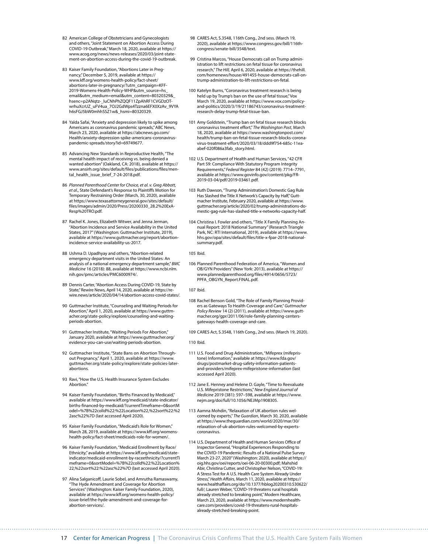- 82 American College of Obstetricians and Gynecologists and others, "Joint Statement on Abortion Access During COVID-19 Outbreak," March 18, 2020, available at [https://](https://www.acog.org/news/news-releases/2020/03/joint-statement-on-abortion-access-during-the-covid-19-outbreak) [www.acog.org/news/news-releases/2020/03/joint-state](https://www.acog.org/news/news-releases/2020/03/joint-statement-on-abortion-access-during-the-covid-19-outbreak)[ment-on-abortion-access-during-the-covid-19-outbreak](https://www.acog.org/news/news-releases/2020/03/joint-statement-on-abortion-access-during-the-covid-19-outbreak).
- 83 Kaiser Family Foundation, "Abortions Later in Pregnancy," December 5, 2019, available at [https://](https://www.kff.org/womens-health-policy/fact-sheet/abortions-later-in-pregnancy/?utm_campaign=KFF-2019-Womens-Health-Policy-WHP&utm_source=hs_email&utm_medium=email&utm_content=80320329&_hsenc=p2ANqtz-_luCNhPhZQQF11ZpAhRF1CVGDzOTwrhuXcrUZ_uFV4ua_7OJ2GdWps4Tzzna6EFX0XzAv_9VYAh6sFGJ5bW0mhhSSZ1w&_hsmi=80320329) [www.kff.org/womens-health-policy/fact-sheet/](https://www.kff.org/womens-health-policy/fact-sheet/abortions-later-in-pregnancy/?utm_campaign=KFF-2019-Womens-Health-Policy-WHP&utm_source=hs_email&utm_medium=email&utm_content=80320329&_hsenc=p2ANqtz-_luCNhPhZQQF11ZpAhRF1CVGDzOTwrhuXcrUZ_uFV4ua_7OJ2GdWps4Tzzna6EFX0XzAv_9VYAh6sFGJ5bW0mhhSSZ1w&_hsmi=80320329) [abortions-later-in-pregnancy/?utm\\_campaign=KFF-](https://www.kff.org/womens-health-policy/fact-sheet/abortions-later-in-pregnancy/?utm_campaign=KFF-2019-Womens-Health-Policy-WHP&utm_source=hs_email&utm_medium=email&utm_content=80320329&_hsenc=p2ANqtz-_luCNhPhZQQF11ZpAhRF1CVGDzOTwrhuXcrUZ_uFV4ua_7OJ2GdWps4Tzzna6EFX0XzAv_9VYAh6sFGJ5bW0mhhSSZ1w&_hsmi=80320329)[2019-Womens-Health-Policy-WHP&utm\\_source=hs\\_](https://www.kff.org/womens-health-policy/fact-sheet/abortions-later-in-pregnancy/?utm_campaign=KFF-2019-Womens-Health-Policy-WHP&utm_source=hs_email&utm_medium=email&utm_content=80320329&_hsenc=p2ANqtz-_luCNhPhZQQF11ZpAhRF1CVGDzOTwrhuXcrUZ_uFV4ua_7OJ2GdWps4Tzzna6EFX0XzAv_9VYAh6sFGJ5bW0mhhSSZ1w&_hsmi=80320329) [email&utm\\_medium=email&utm\\_content=80320329&\\_](https://www.kff.org/womens-health-policy/fact-sheet/abortions-later-in-pregnancy/?utm_campaign=KFF-2019-Womens-Health-Policy-WHP&utm_source=hs_email&utm_medium=email&utm_content=80320329&_hsenc=p2ANqtz-_luCNhPhZQQF11ZpAhRF1CVGDzOTwrhuXcrUZ_uFV4ua_7OJ2GdWps4Tzzna6EFX0XzAv_9VYAh6sFGJ5bW0mhhSSZ1w&_hsmi=80320329) [hsenc=p2ANqtz-\\_luCNhPhZQQF11ZpAhRF1CVGDzOT](https://www.kff.org/womens-health-policy/fact-sheet/abortions-later-in-pregnancy/?utm_campaign=KFF-2019-Womens-Health-Policy-WHP&utm_source=hs_email&utm_medium=email&utm_content=80320329&_hsenc=p2ANqtz-_luCNhPhZQQF11ZpAhRF1CVGDzOTwrhuXcrUZ_uFV4ua_7OJ2GdWps4Tzzna6EFX0XzAv_9VYAh6sFGJ5bW0mhhSSZ1w&_hsmi=80320329)[wrhuXcrUZ\\_uFV4ua\\_7OJ2GdWps4Tzzna6EFX0XzAv\\_9VYA](https://www.kff.org/womens-health-policy/fact-sheet/abortions-later-in-pregnancy/?utm_campaign=KFF-2019-Womens-Health-Policy-WHP&utm_source=hs_email&utm_medium=email&utm_content=80320329&_hsenc=p2ANqtz-_luCNhPhZQQF11ZpAhRF1CVGDzOTwrhuXcrUZ_uFV4ua_7OJ2GdWps4Tzzna6EFX0XzAv_9VYAh6sFGJ5bW0mhhSSZ1w&_hsmi=80320329) [h6sFGJ5bW0mhhSSZ1w&\\_hsmi=80320329.](https://www.kff.org/womens-health-policy/fact-sheet/abortions-later-in-pregnancy/?utm_campaign=KFF-2019-Womens-Health-Policy-WHP&utm_source=hs_email&utm_medium=email&utm_content=80320329&_hsenc=p2ANqtz-_luCNhPhZQQF11ZpAhRF1CVGDzOTwrhuXcrUZ_uFV4ua_7OJ2GdWps4Tzzna6EFX0XzAv_9VYAh6sFGJ5bW0mhhSSZ1w&_hsmi=80320329)
- 84 Yalda Safai, "Anxiety and depression likely to spike among Americans as coronavirus pandemic spreads," ABC News, March 23, 2020, available at [https://abcnews.go.com/](https://abcnews.go.com/Health/anxiety-depression-spike-americans-coronavirus-pandemic-spreads/story?id=69749677) [Health/anxiety-depression-spike-americans-coronavirus](https://abcnews.go.com/Health/anxiety-depression-spike-americans-coronavirus-pandemic-spreads/story?id=69749677)[pandemic-spreads/story?id=69749677](https://abcnews.go.com/Health/anxiety-depression-spike-americans-coronavirus-pandemic-spreads/story?id=69749677).
- 85 Advancing New Standards in Reproductive Health, "The mental health impact of receiving vs. being denied a wanted abortion" (Oakland, CA: 2018), available at [https://](https://www.ansirh.org/sites/default/files/publications/files/mental_health_issue_brief_7-24-2018.pdf) [www.ansirh.org/sites/default/files/publications/files/men](https://www.ansirh.org/sites/default/files/publications/files/mental_health_issue_brief_7-24-2018.pdf)[tal\\_health\\_issue\\_brief\\_7-24-2018.pdf.](https://www.ansirh.org/sites/default/files/publications/files/mental_health_issue_brief_7-24-2018.pdf)
- 86 *Planned Parenthood Center for Choice, et al. v. Greg Abbott, et al*., State Defendant's Response to Plaintiffs Motion for Temporary Restraining Order (March, 30, 2020), available at [https://www.texasattorneygeneral.gov/sites/default/](https://www.texasattorneygeneral.gov/sites/default/files/images/admin/2020/Press/20200330_28.2%20ExA-Resp%20TRO.pdf) [files/images/admin/2020/Press/20200330\\_28.2%20ExA-](https://www.texasattorneygeneral.gov/sites/default/files/images/admin/2020/Press/20200330_28.2%20ExA-Resp%20TRO.pdf)[Resp%20TRO.pdf](https://www.texasattorneygeneral.gov/sites/default/files/images/admin/2020/Press/20200330_28.2%20ExA-Resp%20TRO.pdf).
- 87 Rachel K. Jones, Elizabeth Witwer, and Jenna Jerman, "Abortion Incidence and Service Availability in the United States, 2017" (Washington: Guttmacher Institute, 2019), available at [https://www.guttmacher.org/report/abortion](https://www.guttmacher.org/report/abortion-incidence-service-availability-us-2017)[incidence-service-availability-us-2017.](https://www.guttmacher.org/report/abortion-incidence-service-availability-us-2017)
- 88 Ushma D. Upadhyay and others, "Abortion-related emergency department visits in the United States: An analysis of a national emergency department sample," *BMC Medicine* 16 (2018): 88, available at [https://www.ncbi.nlm.](https://www.ncbi.nlm.nih.gov/pmc/articles/PMC6000974/) [nih.gov/pmc/articles/PMC6000974/](https://www.ncbi.nlm.nih.gov/pmc/articles/PMC6000974/).
- 89 Dennis Carter, "Abortion Access During COVID-19, State by State," Rewire News, April 14, 2020, available at [https://re](https://rewire.news/article/2020/04/14/abortion-access-covid-states/)[wire.news/article/2020/04/14/abortion-access-covid-states/.](https://rewire.news/article/2020/04/14/abortion-access-covid-states/)
- 90 Guttmacher Institute, "Counseling and Waiting Periods for Abortion," April 1, 2020, available at [https://www.guttm](https://www.guttmacher.org/state-policy/explore/counseling-and-waiting-periods-abortion)[acher.org/state-policy/explore/counseling-and-waiting](https://www.guttmacher.org/state-policy/explore/counseling-and-waiting-periods-abortion)[periods-abortion.](https://www.guttmacher.org/state-policy/explore/counseling-and-waiting-periods-abortion)
- 91 Guttmacher Institute, "Waiting Periods For Abortion," January 2020, available at [https://www.guttmacher.org/](https://www.guttmacher.org/evidence-you-can-use/waiting-periods-abortion) [evidence-you-can-use/waiting-periods-abortion.](https://www.guttmacher.org/evidence-you-can-use/waiting-periods-abortion)
- 92 Guttmacher Institute, "State Bans on Abortion Throughout Pregnancy," April 1, 2020, available at [https://www.](https://www.guttmacher.org/state-policy/explore/state-policies-later-abortions) [guttmacher.org/state-policy/explore/state-policies-later](https://www.guttmacher.org/state-policy/explore/state-policies-later-abortions)[abortions.](https://www.guttmacher.org/state-policy/explore/state-policies-later-abortions)
- 93 Ravi, "How the U.S. Health Insurance System Excludes Abortion."
- 94 Kaiser Family Foundation, "Births Financed by Medicaid," available at [https://www.kff.org/medicaid/state-indicator/](https://www.kff.org/medicaid/state-indicator/births-financed-by-medicaid/?currentTimeframe=0&sortModel=%7B%22colId%22:%22Location%22,%22sort%22:%22asc%22%7D) [births-financed-by-medicaid/?currentTimeframe=0&sortM](https://www.kff.org/medicaid/state-indicator/births-financed-by-medicaid/?currentTimeframe=0&sortModel=%7B%22colId%22:%22Location%22,%22sort%22:%22asc%22%7D) [odel=%7B%22colId%22:%22Location%22,%22sort%22:%2](https://www.kff.org/medicaid/state-indicator/births-financed-by-medicaid/?currentTimeframe=0&sortModel=%7B%22colId%22:%22Location%22,%22sort%22:%22asc%22%7D) [2asc%22%7D](https://www.kff.org/medicaid/state-indicator/births-financed-by-medicaid/?currentTimeframe=0&sortModel=%7B%22colId%22:%22Location%22,%22sort%22:%22asc%22%7D) (last accessed April 2020).
- 95 Kaiser Family Foundation, "Medicaid's Role for Women," March 28, 2019, available at [https://www.kff.org/womens](https://www.kff.org/womens-health-policy/fact-sheet/medicaids-role-for-women/)[health-policy/fact-sheet/medicaids-role-for-women/.](https://www.kff.org/womens-health-policy/fact-sheet/medicaids-role-for-women/)
- 96 Kaiser Family Foundation, "Medicaid Enrollment by Race/ Ethnicity," available at [https://www.kff.org/medicaid/state](https://www.kff.org/medicaid/state-indicator/medicaid-enrollment-by-raceethnicity/?currentTimeframe=0&sortModel=%7B%22colId%22:%22Location%22,%22sort%22:%22asc%22%7D)[indicator/medicaid-enrollment-by-raceethnicity/?currentTi](https://www.kff.org/medicaid/state-indicator/medicaid-enrollment-by-raceethnicity/?currentTimeframe=0&sortModel=%7B%22colId%22:%22Location%22,%22sort%22:%22asc%22%7D) [meframe=0&sortModel=%7B%22colId%22:%22Location%](https://www.kff.org/medicaid/state-indicator/medicaid-enrollment-by-raceethnicity/?currentTimeframe=0&sortModel=%7B%22colId%22:%22Location%22,%22sort%22:%22asc%22%7D) [22,%22sort%22:%22asc%22%7D](https://www.kff.org/medicaid/state-indicator/medicaid-enrollment-by-raceethnicity/?currentTimeframe=0&sortModel=%7B%22colId%22:%22Location%22,%22sort%22:%22asc%22%7D) (last accessed April 2020).
- 97 Alina Salganicoff, Laurie Sobel, and Amrutha Ramaswamy, "The Hyde Amendment and Coverage for Abortion Services" (Washington: Kaiser Family Foundation, 2020), available at [https://www.kff.org/womens-health-policy/](https://www.kff.org/womens-health-policy/issue-brief/the-hyde-amendment-and-coverage-for-abortion-services/) [issue-brief/the-hyde-amendment-and-coverage-for](https://www.kff.org/womens-health-policy/issue-brief/the-hyde-amendment-and-coverage-for-abortion-services/)[abortion-services/](https://www.kff.org/womens-health-policy/issue-brief/the-hyde-amendment-and-coverage-for-abortion-services/).
- 98 CARES Act, S.3548, 116th Cong., 2nd sess. (March 19, 2020), available at [https://www.congress.gov/bill/116th](https://www.congress.gov/bill/116th-congress/senate-bill/3548/text)[congress/senate-bill/3548/text](https://www.congress.gov/bill/116th-congress/senate-bill/3548/text).
- 99 Cristina Marcos, "House Democrats call on Trump administration to lift restrictions on fetal tissue for coronavirus research," *The Hill,* April 6, 2020, available at [https://thehill.](https://thehill.com/homenews/house/491455-house-democrats-call-on-trump-administration-to-lift-restrictions-on-fetal) [com/homenews/house/491455-house-democrats-call-on](https://thehill.com/homenews/house/491455-house-democrats-call-on-trump-administration-to-lift-restrictions-on-fetal)[trump-administration-to-lift-restrictions-on-fetal.](https://thehill.com/homenews/house/491455-house-democrats-call-on-trump-administration-to-lift-restrictions-on-fetal)
- 100 Katelyn Burns, "Coronavirus treatment research is being held up by Trump's ban on the use of fetal tissue," Vox March 19, 2020, available at [https://www.vox.com/policy](https://www.vox.com/policy-and-politics/2020/3/19/21186743/coronavirus-treatment-research-delay-trump-fetal-tissue-ban)[and-politics/2020/3/19/21186743/coronavirus-treatment](https://www.vox.com/policy-and-politics/2020/3/19/21186743/coronavirus-treatment-research-delay-trump-fetal-tissue-ban)[research-delay-trump-fetal-tissue-ban.](https://www.vox.com/policy-and-politics/2020/3/19/21186743/coronavirus-treatment-research-delay-trump-fetal-tissue-ban)
- 101 Amy Goldstein, "Trump ban on fetal tissue research blocks coronavirus treatment effort," *The Washington Post*, March 18, 2020, available at [https://www.washingtonpost.com/](https://www.washingtonpost.com/health/trump-ban-on-fetal-tissue-research-blocks-coronavirus-treatment-effort/2020/03/18/ddd9f754-685c-11ea-abef-020f086a3fab_story.html) [health/trump-ban-on-fetal-tissue-research-blocks-corona](https://www.washingtonpost.com/health/trump-ban-on-fetal-tissue-research-blocks-coronavirus-treatment-effort/2020/03/18/ddd9f754-685c-11ea-abef-020f086a3fab_story.html)[virus-treatment-effort/2020/03/18/ddd9f754-685c-11ea](https://www.washingtonpost.com/health/trump-ban-on-fetal-tissue-research-blocks-coronavirus-treatment-effort/2020/03/18/ddd9f754-685c-11ea-abef-020f086a3fab_story.html)[abef-020f086a3fab\\_story.html.](https://www.washingtonpost.com/health/trump-ban-on-fetal-tissue-research-blocks-coronavirus-treatment-effort/2020/03/18/ddd9f754-685c-11ea-abef-020f086a3fab_story.html)
- 102 U.S. Department of Health and Human Services, "42 CFR Part 59: Compliance With Statutory Program Integrity Requirements," *Federal Register* 84 (42) (2019): 7714–7791, available at [https://www.govinfo.gov/content/pkg/FR-](https://www.govinfo.gov/content/pkg/FR-2019-03-04/pdf/2019-03461.pdf)[2019-03-04/pdf/2019-03461.pdf.](https://www.govinfo.gov/content/pkg/FR-2019-03-04/pdf/2019-03461.pdf)
- 103 Ruth Dawson, "Trump Administration's Domestic Gag Rule Has Slashed the Title X Network's Capacity by Half," Guttmacher Institute, February 2020, available at [https://www.](https://www.guttmacher.org/article/2020/02/trump-administrations-domestic-gag-rule-has-slashed-title-x-networks-capacity-half) [guttmacher.org/article/2020/02/trump-administrations-do](https://www.guttmacher.org/article/2020/02/trump-administrations-domestic-gag-rule-has-slashed-title-x-networks-capacity-half)[mestic-gag-rule-has-slashed-title-x-networks-capacity-half](https://www.guttmacher.org/article/2020/02/trump-administrations-domestic-gag-rule-has-slashed-title-x-networks-capacity-half).
- 104 Christina I. Fowler and others, "Title X Family Planning Annual Report: 2018 National Summary" (Research Triangle Park, NC: RTI International, 2019), available at [https://www.](https://www.hhs.gov/opa/sites/default/files/title-x-fpar-2018-national-summary.pdf) [hhs.gov/opa/sites/default/files/title-x-fpar-2018-national](https://www.hhs.gov/opa/sites/default/files/title-x-fpar-2018-national-summary.pdf)[summary.pdf.](https://www.hhs.gov/opa/sites/default/files/title-x-fpar-2018-national-summary.pdf)

#### 105 Ibid.

106 Planned Parenthood Federation of America, "Women and OB/GYN Providers" (New York: 2013), available at [https://](https://www.plannedparenthood.org/files/4914/0656/5723/PPFA_OBGYN_Report.FINAL.pdf) [www.plannedparenthood.org/files/4914/0656/5723/](https://www.plannedparenthood.org/files/4914/0656/5723/PPFA_OBGYN_Report.FINAL.pdf) [PPFA\\_OBGYN\\_Report.FINAL.pdf](https://www.plannedparenthood.org/files/4914/0656/5723/PPFA_OBGYN_Report.FINAL.pdf).

107 Ibid.

- 108 Rachel Benson Gold, "The Role of Family Planning Providers as Gateways To Health Coverage and Care," *Guttmacher Policy Review* 14 (2) (2011), available at [https://www.gutt](https://www.guttmacher.org/gpr/2011/06/role-family-planning-centers-gateways-health-coverage-and-care)[macher.org/gpr/2011/06/role-family-planning-centers](https://www.guttmacher.org/gpr/2011/06/role-family-planning-centers-gateways-health-coverage-and-care)[gateways-health-coverage-and-care.](https://www.guttmacher.org/gpr/2011/06/role-family-planning-centers-gateways-health-coverage-and-care)
- 109 CARES Act, S.3548, 116th Cong., 2nd sess. (March 19, 2020).
- 110 Ibid.
- 111 U.S. Food and Drug Administration, "Mifeprex (mifepristone) Information," available at [https://www.fda.gov/](https://www.fda.gov/drugs/postmarket-drug-safety-information-patients-and-providers/mifeprex-mifepristone-information) [drugs/postmarket-drug-safety-information-patients](https://www.fda.gov/drugs/postmarket-drug-safety-information-patients-and-providers/mifeprex-mifepristone-information)[and-providers/mifeprex-mifepristone-information](https://www.fda.gov/drugs/postmarket-drug-safety-information-patients-and-providers/mifeprex-mifepristone-information) (last accessed April 2020).
- 112 Jane E. Henney and Helene D. Gayle, "Time to Reevaluate U.S. Mifepristone Restrictions," *New England Journal of Medicine* 2019 (381): 597–598, available at [https://www.](https://www.nejm.org/doi/full/10.1056/NEJMp1908305) [nejm.org/doi/full/10.1056/NEJMp1908305](https://www.nejm.org/doi/full/10.1056/NEJMp1908305).
- 113 Aamna Mohdin, "Relaxation of UK abortion rules welcomed by experts," *The Guardian*, March 30, 2020, available at [https://www.theguardian.com/world/2020/mar/30/](https://www.theguardian.com/world/2020/mar/30/relaxation-of-uk-abortion-rules-welcomed-by-experts-coronavirus) [relaxation-of-uk-abortion-rules-welcomed-by-experts](https://www.theguardian.com/world/2020/mar/30/relaxation-of-uk-abortion-rules-welcomed-by-experts-coronavirus)[coronavirus.](https://www.theguardian.com/world/2020/mar/30/relaxation-of-uk-abortion-rules-welcomed-by-experts-coronavirus)
- 114 U.S. Department of Health and Human Services Office of Inspector General, "Hospital Experiences Responding to the COVID-19 Pandemic: Results of a National Pulse Survey March 23-27, 2020" (Washington: 2020), available at [https://](https://oig.hhs.gov/oei/reports/oei-06-20-00300.pdf) [oig.hhs.gov/oei/reports/oei-06-20-00300.pdf](https://oig.hhs.gov/oei/reports/oei-06-20-00300.pdf); Mahshid Abir, Christina Cutter, and Christopher Nelson, "COVID-19: A Stress Test for A U.S. Health Care System Already Under Stress," *Health Affairs*, March 11, 2020, available at [https://](https://www.healthaffairs.org/do/10.1377/hblog20200310.530622/full/) [www.healthaffairs.org/do/10.1377/hblog20200310.530622/](https://www.healthaffairs.org/do/10.1377/hblog20200310.530622/full/) [full/](https://www.healthaffairs.org/do/10.1377/hblog20200310.530622/full/); Lauren Weber, "COVID-19 threatens rural hospitals already stretched to breaking point," Modern Healthcare, March 23, 2020, available at [https://www.modernhealth](https://www.modernhealthcare.com/providers/covid-19-threatens-rural-hospitals-already-stretched-breaking-point)[care.com/providers/covid-19-threatens-rural-hospitals](https://www.modernhealthcare.com/providers/covid-19-threatens-rural-hospitals-already-stretched-breaking-point)[already-stretched-breaking-point.](https://www.modernhealthcare.com/providers/covid-19-threatens-rural-hospitals-already-stretched-breaking-point)